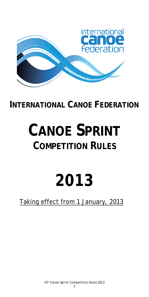<span id="page-0-0"></span>

# **INTERNATIONAL CANOE FEDERATION**

# **CANOE SPRINT COMPETITION RULES**

# **2013**

Taking effect from 1 January, 2013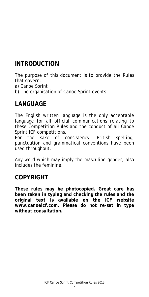# **INTRODUCTION**

The purpose of this document is to provide the Rules that govern:

a) Canoe Sprint

b) The organisation of Canoe Sprint events

## **LANGUAGE**

The English written language is the only acceptable language for all official communications relating to these Competition Rules and the conduct of all Canoe Sprint ICF competitions.

For the sake of consistency, British spelling, punctuation and grammatical conventions have been used throughout.

Any word which may imply the masculine gender, also includes the feminine.

## **COPYRIGHT**

**These rules may be photocopied. Great care has been taken in typing and checking the rules and the original text is available on the ICF website www.canoeicf.com. Please do not re-set in type without consultation.**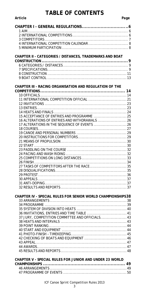# **TABLE OF CONTENTS**

| CHAPTER II - CATEGORIES / DISTANCES, TRADEMARKS AND BOAT     |  |
|--------------------------------------------------------------|--|
|                                                              |  |
|                                                              |  |
|                                                              |  |
|                                                              |  |
| CHAPTER III - RACING ORGANISATION AND REGULATION OF THE      |  |
|                                                              |  |
|                                                              |  |
|                                                              |  |
|                                                              |  |
|                                                              |  |
| 15 ACCEPTANCE OF ENTRIES AND PROGRAMME  25                   |  |
| 16 ALTERATIONS OF ENTRIES AND WITHDRAWALS  26                |  |
| 17 ALTERATIONS IN THE SEQUENCE OF EVENTS  26                 |  |
|                                                              |  |
|                                                              |  |
|                                                              |  |
|                                                              |  |
|                                                              |  |
|                                                              |  |
|                                                              |  |
|                                                              |  |
| 27 TASKS OF COMPETITORS AFTER THE RACE35                     |  |
|                                                              |  |
|                                                              |  |
|                                                              |  |
|                                                              |  |
| CHAPTER IV - SPECIAL RULES FOR SENIOR WORLD CHAMPIONSHIPS 38 |  |
|                                                              |  |
|                                                              |  |
|                                                              |  |
| 36 INVITATIONS, ENTRIES AND TIME TABLE  41                   |  |
| 37 JURY, COMPETITION COMMITTEE AND OFFICIALS 43              |  |
|                                                              |  |
|                                                              |  |
|                                                              |  |
|                                                              |  |
|                                                              |  |
|                                                              |  |
|                                                              |  |
| CHAPTER V - SPECIAL RULES FOR JUNIOR AND UNDER 23 WORLD      |  |
|                                                              |  |
|                                                              |  |
|                                                              |  |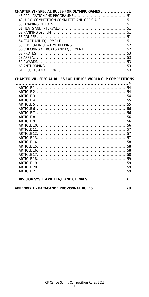| CHAPTER VI - SPECIAL RULES FOR OLYMPIC GAMES  51<br>49 JURY, COMPETITION COMMITTEE AND OFFICIALS 51 |    |
|-----------------------------------------------------------------------------------------------------|----|
|                                                                                                     |    |
|                                                                                                     |    |
|                                                                                                     |    |
| CHAPTER VII - SPECIAL RULES FOR THE ICF WORLD CUP COMPETITIONS                                      |    |
|                                                                                                     |    |
|                                                                                                     |    |
|                                                                                                     |    |
|                                                                                                     |    |
|                                                                                                     |    |
|                                                                                                     |    |
|                                                                                                     |    |
|                                                                                                     |    |
|                                                                                                     |    |
|                                                                                                     |    |
|                                                                                                     |    |
|                                                                                                     |    |
|                                                                                                     |    |
|                                                                                                     |    |
|                                                                                                     |    |
|                                                                                                     |    |
|                                                                                                     |    |
| ARTICI F 17                                                                                         | 58 |
|                                                                                                     |    |
|                                                                                                     |    |
|                                                                                                     |    |
|                                                                                                     |    |
|                                                                                                     |    |
|                                                                                                     |    |
| APPENDIX 1 - PARACANOE PROVISONAL RULES  70                                                         |    |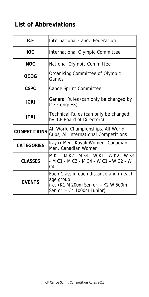# **List of Abbreviations**

| <b>ICF</b>          | International Canoe Federation                                                                                          |
|---------------------|-------------------------------------------------------------------------------------------------------------------------|
| <b>IOC</b>          | International Olympic Committee                                                                                         |
| <b>NOC</b>          | National Olympic Committee                                                                                              |
| <b>OCOG</b>         | Organising Committee of Olympic<br>Games                                                                                |
| <b>CSPC</b>         | Canoe Sprint Committee                                                                                                  |
| [GR]                | General Rules (can only be changed by<br>ICF Congress)                                                                  |
| [TR]                | Technical Rules (can only be changed<br>by ICF Board of Directors)                                                      |
| <b>COMPETITIONS</b> | All World Championships, All World<br>Cups, All International Competitions                                              |
| <b>CATEGORIES</b>   | Kayak Men, Kayak Women, Canadian<br>Men, Canadian Women                                                                 |
| <b>CLASSES</b>      | MK1 - MK2 - MK4 - WK1 - WK2 - WK4<br>- M C1 - M C2 - M C4 - W C1 - W C2 - W<br>C <sub>4</sub>                           |
| <b>EVENTS</b>       | Each Class in each distance and in each<br>age group<br>i.e. (K1 M 200m Senior - K2 W 500m<br>Senior - C4 1000m Junior) |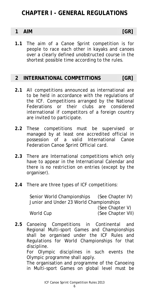# <span id="page-5-0"></span>**CHAPTER I - GENERAL REGULATIONS**

#### **1 AIM [GR]**

**1.1** The aim of a Canoe Sprint competition is for people to race each other in kayaks and canoes over a clearly defined unobstructed course in the shortest possible time according to the rules.

#### **2 INTERNATIONAL COMPETITIONS [GR]**

- **2.1** All competitions announced as international are to be held in accordance with the regulations of the ICF. Competitions arranged by the National Federations or their clubs are considered international if competitors of a foreign country are invited to participate.
- **2.2** These competitions must be supervised or managed by at least one accredited official in possession of a valid International Canoe Federation Canoe Sprint Official card.
- **2.3** There are International competitions which only have to appear in the International Calendar and there is no restriction on entries (except by the organiser).
- **2.4** There are three types of ICF competitions:

Senior World Championships (See Chapter IV) Junior and Under 23 World Championships (See Chapter V)

World Cup (See Chapter VII)

**2.5** Canoeing Competitions in Continental and Regional Multi-sport Games and Championships shall be organised under the ICF Rules and Regulations for World Championships for that discipline.

For Olympic disciplines in such events the Olympic programme shall apply.

The organisation and programme of the Canoeing in Multi-sport Games on global level must be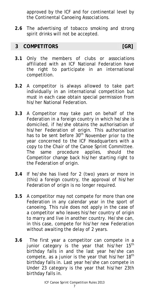<span id="page-6-0"></span>approved by the ICF and for continental level by the Continental Canoeing Associations.

**2.6** The advertising of tobacco smoking and strong spirit drinks will not be accepted.

#### **3 COMPETITORS [GR]**

- **3.1** Only the members of clubs or associations affiliated with an ICF National Federation have the right to participate in an international competition.
- **3.2** A competitor is always allowed to take part individually in an international competition but must in each case obtain special permission from his/her National Federation.
- **3.3** A Competitor may take part on behalf of the Federation in a foreign country in which he/she is domiciled, if he/she obtains the authorisation of his/her Federation of origin. This authorisation has to be sent before 30<sup>th</sup> November prior to the year concerned to the ICF Headquarters with a copy to the Chair of the Canoe Sprint Committee. The same procedure applies, should the Competitor change back his/her starting right to the Federation of origin.
- **3.4** If he/she has lived for 2 (two) years or more in (this) a foreign country, the approval of his/her Federation of origin is no longer required.
- **3.5** A competitor may not compete for more than one Federation in any calendar year in the sport of canoeing. This rule does not apply in the case of a competitor who leaves his/her country of origin to marry and live in another country. He/she can, in this case, compete for his/her new Federation without awaiting the delay of 2 years.
- **3.6** The first year a competitor can compete in a junior category is the year that his/her 15<sup>th</sup> birthday falls in and the last year he/she can compete, as a junior is the year that his/her  $18^{th}$ birthday falls in. Last year he/she can compete in Under 23 category is the year that his/her 23th birthday falls in.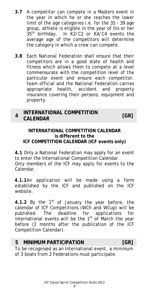- <span id="page-7-0"></span>**3.7** A competitor can compete in a Masters event in the year in which he or she reaches the lower limit of the age categories i.e. for the 35 - 39 age group, athlete is eligible in the year of his or her 35<sup>th</sup> birthday. In K2/C2 or K4/C4 events the average age of the competitors will determine the category in which a crew can compete.
- **3.8** Each National Federation shall ensure that their competitors are in a good state of health and fitness which allows them to compete at a level commensurate with the competition level of the particular event and ensure each competitor, team official and the National Federation carries appropriate health, accident and property insurance covering their persons, equipment and property.

#### **<sup>4</sup>INTERNATIONAL COMPETITION CALENDAR** COMPLITION [GR]

#### **INTERNATIONAL COMPETITION CALENDAR is different to the ICF COMPETITION CALENDAR (ICF events only)**

**4.1** Only a National Federation may apply for an event to enter the International Competition Calendar. Only members of the ICF may apply for events to the Calendar.

 **4.1.1**An application will be made using a form established by the ICF and published on the ICF website.

4.1.2 By the 1<sup>st</sup> of January the year before, the calendar of ICF Competitions (WCh and WCup) will be published. The deadline for applications for international events will be the  $1<sup>st</sup>$  of March the year before (2 months after the publication of the ICF Competition Calendar).

#### **5 MINIMUM PARTICIPATION [GR]**

To be recognised as an International event, a minimum of 3 boats from 2 Federations must participate.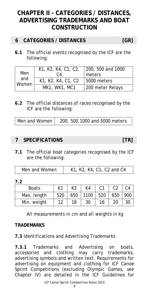# <span id="page-8-0"></span>**CHAPTER II - CATEGORIES / DISTANCES, ADVERTISING TRADEMARKS AND BOAT CONSTRUCTION**

#### **6 CATEGORIES / DISTANCES [GR]**

**6.1** The official events recognised by the ICF are the following:

| Men          | K1, K2, K4, C1, C2,<br>C.4 | $ 200, 500$ and 1000<br>meters |
|--------------|----------------------------|--------------------------------|
| and<br>Women | K1, K2, K4, C1, C2         | 5000 meters                    |
|              | MK1, WK1, MC1              | 200 meter Relays               |

**6.2** The official distances of races recognised by the ICF are the following:

#### **7 SPECIFICATIONS [TR]**

**7.1** The official boat categories recognised by the ICF are the following:

| Men and Women | K1, K2, K4, C1, C2 and C4 |
|---------------|---------------------------|
|               |                           |

**7.2** 

| <b>Boats</b> |     | K <sub>2</sub> | K4   | C <sub>1</sub> | C <sub>2</sub> |     |
|--------------|-----|----------------|------|----------------|----------------|-----|
| Max. length  | 520 | 650            | 1100 | 520            | 650            | 900 |
| Min. weight  | 12  | 18             | 30   | 16             | 20             |     |

All measurements in cm and all weights in kg

#### **TRADEMARKS**

**7.3** Identifications and Advertising Trademarks

**7.3.1** Trademarks and Advertising on boats, accessories and clothing may carry trademarks, advertising symbols and written text. Requirements for advertising on equipment and clothing for ICF Canoe Sprint Competitions (excluding Olympic Games, see Chapter IV) are detailed in the ICF Guidelines for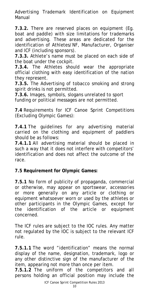Advertising Trademark Identification on Equipment Manual

**7.3.2.** There are reserved places on equipment (Eg. boat and paddle) with size limitations for trademarks and advertising. These areas are dedicated for the identification of Athletes/NF, Manufacturer, Organiser and ICF (including sponsors).

**7.3.3.** Athlete's name must be placed on each side of the boat under the cockpit.

**7.3.4.** The Athletes should wear the appropriate official clothing with easy identification of the nation they represent.

**7.3.5.** The Advertising of tobacco smoking and strong spirit drinks is not permitted.

**7.3.6.** Images, symbols, slogans unrelated to sport funding or political messages are not permitted.

**7.4** Requirements for ICF Canoe Sprint Competitions (Excluding Olympic Games):

**7.4.1** The guidelines for any advertising material carried on the clothing and equipment of paddlers should be as follows:

**7.4.1.1** All advertising material should be placed in such a way that it does not interfere with competitors' identification and does not affect the outcome of the race.

**7.5 Requirement for Olympic Games:** 

**7.5.1** No form of publicity of propaganda, commercial or otherwise, may appear on sportswear, accessories or more generally on any article or clothing or equipment whatsoever worn or used by the athletes or other participants in the Olympic Games, except for the identification of the article or equipment concerned.

The ICF rules are subject to the IOC rules. Any matter not regulated by the IOC is subject to the relevant ICF rule.

**7.5.1.1** The word "identification" means the normal display of the name, designation, trademark, logo or any other distinctive sign of the manufacturer of the item, appearing not more than once per item.

**7.5.1.2** The uniform of the competitors and all persons holding an official position may include the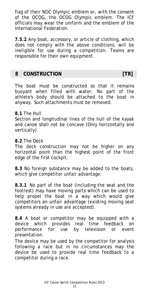<span id="page-10-0"></span>flag of their NOC Olympic emblem or, with the consent of the OCOG, the OCOG Olympic emblem. The ICF officials may wear the uniform and the emblem of the International Federation.

**7.5.2** Any boat, accessory, or article of clothing, which does not comply with the above conditions, will be ineligible for use during a competition. Teams are responsible for their own equipment.

#### **8 CONSTRUCTION [TR]**

The boat must be constructed so that it remains buoyant when filled with water. No part of the athlete's body should be attached to the boat in anyway. Such attachments must be removed.

#### **8.1** The Hull

Section and longitudinal lines of the hull of the kayak and canoe shall not be concave (Only horizontally and vertically).

#### **8.2** The Deck

The deck construction may not be higher on any horizontal point than the highest point of the front edge of the first cockpit.

**8.3** No foreign substance may be added to the boats, which give competitor unfair advantage.

**8.3.1** No part of the boat (including the seat and the footrest) may have moving parts which can be used to help propel the boat in a way which would give competitors an unfair advantage (existing moving seat systems already in use are accepted).

**8.4** A boat or competitor may be equipped with a device which provides real time feedback on performance for use by television or event presentation.

The device may be used by the competitor for analysis following a race but in no circumstances may the device be used to provide real time feedback to a competitor during a race.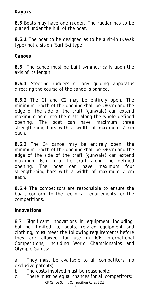### *Kayaks*

**8.5** Boats may have one rudder. The rudder has to be placed under the hull of the boat.

**8.5.1** The boat to be designed as to be a sit-in (Kayak type) not a sit-on (Surf Ski type)

#### *Canoes*

**8.6** The canoe must be built symmetrically upon the axis of its length.

**8.6.1** Steering rudders or any guiding apparatus directing the course of the canoe is banned.

**8.6.2** The C1 and C2 may be entirely open. The minimum length of the opening shall be 280cm and the edge of the side of the craft (gunwale) can extend maximum 5cm into the craft along the whole defined opening. The boat can have maximum three strengthening bars with a width of maximum 7 cm each.

**8.6.3** The C4 canoe may be entirely open, the minimum length of the opening shall be 390cm and the edge of the side of the craft (gunwale) can extend maximum 6cm into the craft along the defined opening. The boat can have maximum four strengthening bars with a width of maximum 7 cm each.

**8.6.4** The competitors are responsible to ensure the boats conform to the technical requirements for the competitions.

#### *Innovations*

8.7 Significant innovations in equipment including, but not limited to, boats, related equipment and clothing, must meet the following requirements before they are allowed for use in ICF International Competitions; including World Championships and Olympic Games:

a. They must be available to all competitors (no exclusive patents);

b. The costs involved must be reasonable;

ICF Canoe Sprint Competition Rules 2013 c. There must be equal chances for all competitors;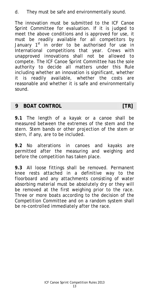<span id="page-12-0"></span>The innovation must be submitted to the ICF Canoe Sprint Committee for evaluation. If it is judged to meet the above conditions and is approved for use, it must be readily available for all competitors by January  $1^{st}$  in order to be authorised for use in International competitions that year. Crews with unapproved innovations shall not be allowed to compete. The ICF Canoe Sprint Committee has the sole authority to decide all matters under this Rule including whether an innovation is significant, whether it is readily available, whether the costs are reasonable and whether it is safe and environmentally sound.

#### **9 BOAT CONTROL CONTROL TRI**

**9.1** The length of a kayak or a canoe shall be measured between the extremes of the stem and the stern. Stem bands or other projection of the stem or stern, if any, are to be included.

**9.2** No alterations in canoes and kayaks are permitted after the measuring and weighing and before the competition has taken place.

**9.3** All loose fittings shall be removed. Permanent knee rests attached in a definitive way to the floorboard and any attachments consisting of water absorbing material must be absolutely dry or they will be removed at the first weighing prior to the race. Three or more boats according to the decision of the Competition Committee and on a random system shall be re-controlled immediately after the race.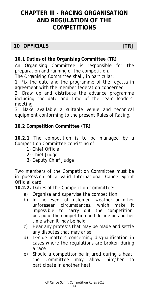# <span id="page-13-0"></span>**CHAPTER III - RACING ORGANISATION AND REGULATION OF THE COMPETITIONS**

#### **10 OFFICIALS [TR]**

#### **10.1 Duties of the Organising Committee (TR)**

An Organising Committee is responsible for the preparation and running of the competition.

The Organising Committee shall, in particular:

1. Fix the date and the programme of the regatta in agreement with the member federation concerned

2. Draw up and distribute the advance programme including the date and time of the team leaders' meeting

3. Make available a suitable venue and technical equipment conforming to the present Rules of Racing.

#### **10.2 Competition Committee (TR)**

**10.2.1** The competition is to be managed by a Competition Committee consisting of:

- 1) Chief Official
- 2) Chief Judge
- 3) Deputy Chief Judge

Two members of the Competition Committee must be in possession of a valid International Canoe Sprint Official card.

**10.2.2.** Duties of the Competition Committee:

- a) Organise and supervise the competition
- b) In the event of inclement weather or other unforeseen circumstances, which make it impossible to carry out the competition, postpone the competition and decide on another time when it may be held
- c) Hear any protests that may be made and settle any disputes that may arise
- d) Decide matters concerning disqualification in cases where the regulations are broken during a race
- e) Should a competitor be injured during a heat, the Committee may allow him/her to participate in another heat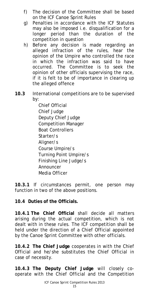- f) The decision of the Committee shall be based on the ICF Canoe Sprint Rules
- g) Penalties in accordance with the ICF Statutes may also be imposed i.e. disqualification for a longer period than the duration of the competition in question
- h) Before any decision is made regarding an alleged infraction of the rules, hear the opinion of the Umpire who controlled the race in which the infraction was said to have occurred. The Committee is to seek the opinion of other officials supervising the race, if it is felt to be of importance in clearing up the alleged offence
- **10.3** International competitions are to be supervised by:

Chief Official Chief Judge Deputy Chief Judge Competition Manager Boat Controllers Starter/s Aligner/s Course Umpire/s Turning Point Umpire/s Finishing Line Judge/s Announcer Media Officer

**10.3.1** If circumstances permit, one person may function in two of the above positions.

**10.4 Duties of the Officials.** 

**10.4.1 The Chief Official** shall decide all matters arising during the actual competition, which is not dealt with in these rules. The ICF competition shall be held under the direction of a Chief Official appointed by the Canoe Sprint Committee with other officials.

**10.4.2 The Chief Judge** cooperates in with the Chief Official and he/she substitutes the Chief Official in case of necessity.

**10.4.3 The Deputy Chief Judge** will closely cooperate with the Chief Official and the Competition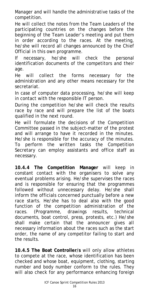Manager and will handle the administrative tasks of the competition.

He will collect the notes from the Team Leaders of the participating countries on the changes before the beginning of the Team Leader's meeting and put them in order according to the races. At the meeting, he/she will record all changes announced by the Chief Official in this own programme.

If necessary, he/she will check the personal identification documents of the competitors and their age.

He will collect the forms necessary for the administration and any other means necessary for the secretariat.

In case of computer data processing, he/she will keep in contact with the responsible IT person.

During the competition he/she will check the results race by race and will prepare the list of the boats qualified in the next round.

He will formulate the decisions of the Competition Committee passed in the subject-matter of the protest and will arrange to have it recorded in the minutes. He/she is responsible for the accuracy of the minutes. To perform the written tasks the Competition Secretary can employ assistants and office staff as necessary.

**10.4.4 The Competition Manager** will keep in constant contact with the organisers to solve any eventual problems arising. He/she supervises the races and is responsible for ensuring that the programmes followed without unnecessary delay. He/she shall inform the officials concerned punctually before a new race starts. He/she has to deal also with the good function of the competition administration of the races. (Programme, drawings results, technical documents, boat control, press, protests, etc.) He/she shall make certain that the announcer gives all necessary information about the races such as the start order, the name of any competitor failing to start and the results.

**10.4.5 The Boat Controller/s** will only allow athletes to compete at the race, whose identification has been checked and whose boat, equipment, clothing, starting number and body number conform to the rules. They will also check for any performance enhancing foreign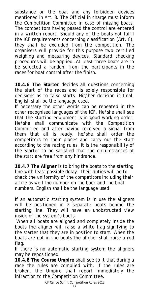substance on the boat and any forbidden devices mentioned in Art. 8. The Official in charge must inform the Competition Committee in case of missing boats. The competitors having passed the control are entered in a written report. Should any of the boats not fulfil the ICF requirements concerning classification (Art. 8), they shall be excluded from the competition. The organisers will provide for this purpose two certified weighing and measuring devices. Standard checking procedures will be applied. At least three boats are to be selected a random from the participants in the races for boat control after the finish.

**10.4.6 The Starter** decides all questions concerning the start of the races and is solely responsible for decisions as to false starts. His/her decision is final. English shall be the language used.

If necessary the other words can be repeated in the other recognised languages of the ICF. He/she shall see that the starting equipment is in good working order. He/she shall communicate with the Competition Committee and after having received a signal from them that all is ready, he/she shall order the competitors to their places and carry out the start according to the racing rules. It is the responsibility of the Starter to be satisfied that the circumstances at the start are free from any hindrance.

**10.4.7 The Aligner** is to bring the boats to the starting line with least possible delay. Their duties will be to check the uniformity of the competitors including their attire as well the number on the back and the boat numbers. English shall be the language used.

If an automatic starting system is in use the aligners will be positioned in 2 separate boats behind the starting line. They will have an unobstructed view inside of the system's boots.

 When all boats are aligned and completely inside the boots the aligner will raise a white flag signifying to the starter that they are in position to start. When the boats are not in the boots the aligner shall raise a red flag.

If there is no automatic starting system the aligners may be repositioned.

**10.4.8 The Course Umpire** shall see to it that during a race the rules are complied with. If the rules are broken, the Umpire shall report immediately the infraction to the Competition Committee.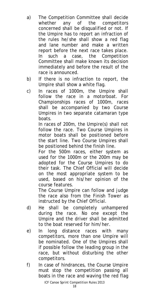- a) The Competition Committee shall decide whether any of the competitors concerned shall be disqualified or not. If the Umpire has to report an infraction of the rules he/she shall show a red flag and lane number and make a written report before the next race takes place. In such a case, the Competition Committee shall make known its decision immediately and before the result of the race is announced.
- b) If there is no infraction to report, the Umpire shall show a white flag.
- c) In races of 1000m, the Umpire shall follow the race in a motorboat. For Championships races of 1000m, races shall be accompanied by two Course Umpires in two separate catamaran type boats.

In races of 200m, the Umpire(s) shall not follow the race. Two Course Umpires in motor boats shall be positioned before the start line. Two Course Umpires shall be positioned behind the finish line.

For the 500m races, either system as used for the 1000m or the 200m may be adopted for the Course Umpires to do their task. The Chief Official will decide on the most appropriate system to be used, based on his/her opinion of the course features.

The Course Umpire can follow and judge the race also from the Finish Tower as instructed by the Chief Official.

- d) He shall be completely unhampered during the race. No one except the Umpire and the driver shall be admitted to the boat reserved for him/her.
- e) In long distance races with many competitors, more than one Umpire will be nominated. One of the Umpires shall if possible follow the leading group in the race, but without disturbing the other competitors.
- f) In case of hindrances, the Course Umpire must stop the competition passing all boats in the race and waving the red flag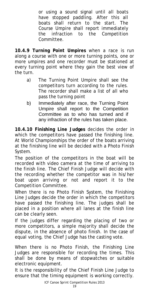or using a sound signal until all boats have stopped paddling. After this all boats shall return to the start. The Course Umpire shall report immediately the infraction to the Competition Committee.

**10.4.9 Turning Point Umpires** when a race is run along a course with one or more turning points, one or more umpires and one recorder must be stationed at every turning point where they gain the best view of the turn.

- a) The Turning Point Umpire shall see the competitors turn according to the rules. The recorder shall make a list of all who pass the turning point
- b) Immediately after race, the Turning Point Umpire shall report to the Competition Committee as to who has turned and if any infraction of the rules has taken place.

**10.4.10 Finishing Line Judges** decides the order in which the competitors have passed the finishing line. At World Championships the order of the boats arriving at the finishing line will be decided with a Photo Finish System.

The position of the competitors in the boat will be recorded with video camera at the time of arriving to the finish line. The Chief Finish Judge will decide with the recording whether the competitor was in his/her boat upon arriving or not and report it to the Competition Committee.

When there is no Photo Finish System, the Finishing Line Judges decide the order in which the competitors have passed the finishing line. The judges shall be placed in a position where all lanes at the finish line can be clearly seen.

If the judges differ regarding the placing of two or more competitors, a simple majority shall decide the dispute, in the absence of photo finish. In the case of equal voting, the Chief Judge has the casting vote.

When there is no Photo Finish, the Finishing Line Judges are responsible for recording the times. This shall be done by means of stopwatches or suitable electronic equipment.

It is the responsibility of the Chief Finish Line Judge to ensure that the timing equipment is working correctly.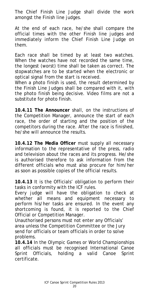The Chief Finish Line Judge shall divide the work amongst the Finish line judges.

At the end of each race, he/she shall compare the official times with the other Finish line judges and immediately inform the Chief Finish Line Judge on them.

Each race shall be timed by at least two watches. When the watches have not recorded the same time, the longest (worst) time shall be taken as correct. The stopwatches are to be started when the electronic or optical signal from the start is received.

When a photo finish is used, the result determined by the Finish Line Judges shall be compared with it, with the photo finish being decisive. Video films are not a substitute for photo finish.

**10.4.11 The Announcer** shall, on the instructions of the Competition Manager, announce the start of each race, the order of starting and the position of the competitors during the race. After the race is finished, he/she will announce the results.

**10.4.12 The Media Officer** must supply all necessary information to the representative of the press, radio and television about the races and its progress. He/she is authorised therefore to ask information from the different officials who must also procure for him/her as soon as possible copies of the official results.

**10.4.13** It is the Officials' obligation to perform their tasks in conformity with the ICF rules.

Every judge will have the obligation to check at whether all means and equipment necessary to perform his/her tasks are ensured. In the event any shortcoming is found, it is reported to the Chief Official or Competition Manager.

Unauthorised persons must not enter any Officials' area unless the Competition Committee or the Jury send for officials or team officials in order to solve problems.

**10.4.14** In the Olympic Games or World Championships all officials must be recognised International Canoe Sprint Officials, holding a valid Canoe Sprint certificate.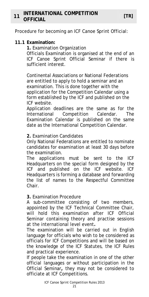#### <span id="page-20-0"></span>**<sup>11</sup>INTERNATIONAL COMPETITION OFFICIAL [TR]**

Procedure for becoming an ICF Canoe Sprint Official:

#### **11.1 Examination:**

**1.** Examination Organization

Officials Examination is organised at the end of an ICF Canoe Sprint Official Seminar if there is sufficient interest.

Continental Associations or National Federations are entitled to apply to hold a seminar and an examination. This is done together with the application for the Competition Calendar using a form established by the ICF and published on the ICF website.

Application deadlines are the same as for the International Competition Calendar. The Examination Calendar is published on the same date as the International Competition Calendar.

**2.** Examination Candidates

Only National Federations are entitled to nominate candidates for examination at least 30 days before the examination.

The applications must be sent to the ICF Headquarters on the special form designed by the ICF and published on the ICF website. ICF Headquarters is forming a database and forwarding the list of names to the Respectful Committee Chair.

**3.** Examination Procedure

A sub-committee consisting of two members, appointed by the ICF Technical Committee Chair, will hold this examination after ICF Official Seminar containing theory and practise sessions at the international level event**.**

The examination will be carried out in English language for officials who wish to be considered as officials for ICF Competitions and will be based on the knowledge of the ICF Statutes, the ICF Rules and practical experience.

If people take the examination in one of the other official languages or without participation in the Official Seminar**,** they may not be considered to officiate at ICF Competitions.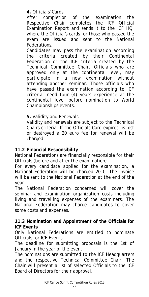**4.** Officials' Cards

After completion of the examination the Respective Chair completes the ICF Official Examination Report and sends it to the ICF HQ, where the Official's cards for those who passed the exam are issued and sent to the National Federations.

Candidates may pass the examination according the criteria created by their Continental Federation or the ICF criteria created by the Technical Committee Chair. Officials who are approved only at the continental level, may participate in a new examination without attending another seminar. Those officials who have passed the examination according to ICF criteria, need four (4) years experience at the continental level before nomination to World Championships events.

#### **5.** Validity and Renewals

Validity and renewals are subject to the Technical Chairs criteria. If the Officials Card expires, is lost or destroyed a 20 euro fee for renewal will be charged.

#### **11.2 Financial Responsibility**

National Federations are financially responsible for their Officials (before and after the examination).

For every candidate applied for the examination, a National Federation will be charged 20  $\epsilon$ . The Invoice will be sent to the National Federation at the end of the year.

The National Federation concerned will cover the seminar and examination organization costs including living and travelling expenses of the examiners. The National Federation may charge candidates to cover some costs and expenses.

#### **11.3 Nomination and Appointment of the Officials for ICF Events**

Only National Federations are entitled to nominate Officials for ICF Events.

The deadline for submitting proposals is the 1st of January in the year of the event.

The nominations are submitted to the ICF Headquarters and the respective Technical Committee Chair. The Chair will present a list of selected Officials to the ICF Board of Directors for their approval.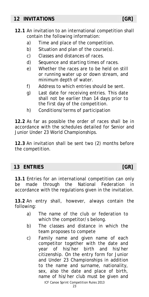#### <span id="page-22-0"></span>**12 INVITATIONS** *GRI*

- **12.1** An invitation to an international competition shall contain the following information:
	- a) Time and place of the competition.
	- b) Situation and plan of the course(s).
	- c) Classes and distances of races.
	- d) Sequence and starting times of races.
	- e) Whether the races are to be held on still or running water up or down stream, and minimum depth of water.
	- f) Address to which entries should be sent.
	- g) Last date for receiving entries. This date shall not be earlier than 14 days prior to the first day of the competition.
	- h) Conditions/terms of participation

**12.2** As far as possible the order of races shall be in accordance with the schedules detailed for Senior and Junior Under 23 World Championships.

**12.3** An invitation shall be sent two (2) months before the competition.

#### **13 ENTRIES** [GR]

**13.1** Entries for an international competition can only be made through the National Federation in accordance with the regulations given in the invitation.

**13.2** An entry shall, however, always contain the following:

- a) The name of the club or federation to which the competitor/s belong.
- b) The classes and distance in which the team proposes to compete
- c) Family name and given name of each competitor together with the date and year of his/her birth and his/her citizenship. On the entry form for Junior and Under 23 Championships in addition to the name and surname, nationality, sex, also the date and place of birth, name of his/her club must be given and

ICF Canoe Sprint Competition Rules 2013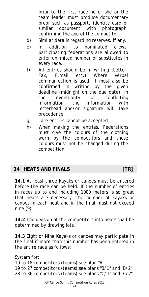<span id="page-23-0"></span>prior to the first race he or she or the team leader must produce documentary proof such as passport, identity card or similar document with photograph, confirming the age of the competitor,

- d) Similar details regarding reserves, if any.
- e) In addition to nominated crews, participating federations are allowed to enter unlimited number of substitutes in every race.
- f) All entries should be in writing (Letter, Fax, E.mail etc.) Where verbal communication is used, it must also be confirmed in writing by the given deadline (midnight on the due date). In the eventuality of conflicting information, the information with letterhead and/or signature will take precedence.
- g) Late entries cannot be accepted
- h) When making the entries, Federations must give the colours of the clothing worn by the competitors and these colours must not be changed during the competition.

#### **14 HEATS AND FINALS TRI**

**14.1** At least three kayaks or canoes must be entered before the race can be held. If the number of entries in races up to and including 1000 meters is so great that heats are necessary, the number of kayaks or canoes in each heat and in the final must not exceed nine (9).

**14.2** The division of the competitors into heats shall be determined by drawing lots.

**14.3** Eight or Nine Kayaks or canoes may participate in the final if more than this number has been entered in the entire race as follows:

*System for:* 

*10 to 18 competitors (teams) see plan "A" 19 to 27 competitors (teams) see plans "B/1" and "B/2" 28 to 36 competitors (teams) see plans "C/1" and "C/2"*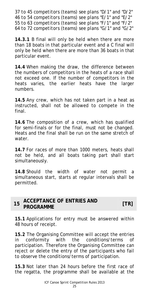<span id="page-24-0"></span>*37 to 45 competitors (teams) see plans "D/1" and "D/2" 46 to 54 competitors (teams) see plans "E/1" and "E/2" 55 to 63 competitors (teams) see plans "F/1" and "F/2" 64 to 72 competitors (teams) see plans "G/1" and "G/2"* 

**14.3.1** B final will only be held when there are more than 18 boats in that particular event and a C final will only be held when there are more than 36 boats in that particular event.

**14.4** When making the draw, the difference between the numbers of competitors in the heats of a race shall not exceed one. If the number of competitors in the heats varies, the earlier heats have the larger numbers.

**14.5** Any crew, which has not taken part in a heat as instructed, shall not be allowed to compete in the final.

**14.6** The composition of a crew, which has qualified for semi-finals or for the final, must not be changed. Heats and the final shall be run on the same stretch of water.

**14.7** For races of more than 1000 meters, heats shall not be held, and all boats taking part shall start simultaneously.

**14.8** Should the width of water not permit a simultaneous start, starts at regular intervals shall be permitted.

| 15 ACCEPTANCE OF ENTRIES AND | [TR] |
|------------------------------|------|
| <b>PROGRAMME</b>             |      |

**15.1** Applications for entry must be answered within 48 hours of receipt.

**15.2** The Organising Committee will accept the entries in conformity with the conditions/terms of participation. Therefore the Organising Committee can reject or delete the entry of the participants who fail to observe the conditions/terms of participation.

**15.3** Not later than 24 hours before the first race of the regatta, the programme shall be available at the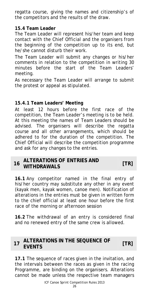<span id="page-25-0"></span>regatta course, giving the names and citizenship's of the competitors and the results of the draw.

#### **15.4 Team Leader**

The Team Leader will represent his/her team and keep contact with the Chief Official and the organisers from the beginning of the competition up to its end, but he/she cannot disturb their work.

The Team Leader will submit any changes or his/her comments in relation to the competition in writing 30 minutes before the start of the Team Leaders' meeting.

As necessary the Team Leader will arrange to submit the protest or appeal as stipulated.

#### **15.4.1 Team Leaders' Meeting**

At least 12 hours before the first race of the competition, the Team Leader's meeting is to be held. At this meeting the names of Team Leaders should be advised. The organisers will describe the regatta course and all other arrangements, which should be adhered to for the duration of the competition. The Chief Official will describe the competition programme and ask for any changes to the entries.

#### **<sup>16</sup>ALTERATIONS OF ENTRIES AND WITHDRAWALS [TR]**

**16.1** Any competitor named in the final entry of his/her country may substitute any other in any event (kayak men, kayak women, canoe men). Notification of alterations in the entries must be given in written form to the chief official at least one hour before the first race of the morning or afternoon session

**16.2** The withdrawal of an entry is considered final and no renewed entry of the same crew is allowed.

#### **<sup>17</sup>ALTERATIONS IN THE SEQUENCE OF EVENTS [TR]**

**17.1** The sequence of races given in the invitation, and the intervals between the races as given in the racing Programme, are binding on the organisers. Alterations cannot be made unless the respective team managers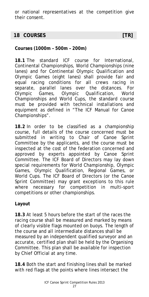<span id="page-26-0"></span>or national representatives at the competition give their consent.

### **18 COURSES [TR]**

### **Courses (1000m – 500m – 200m)**

**18.1** The standard ICF course for International, Continental Championships, World Championships (nine lanes) and for Continental Olympic Qualification and Olympic Games (eight lanes) shall provide fair and equal racing conditions for all crews racing in separate, parallel lanes over the distances. For Olympic Games, Olympic Qualification, World Championships and World Cups, the standard course must be provided with technical installations and equipment as defined in "The ICF Manual for Canoe Championships".

**18.2** In order to be classified as a championship course, full details of the course concerned must be submitted in writing to Chair of Canoe Sprint Committee by the applicants, and the course must be inspected at the cost of the federation concerned and approved by experts appointed by Canoe Sprint Committee. The ICF Board of Directors may lay down special requirements for World Championship, Olympic Games, Olympic Qualification, Regional Games, or World Cups. The ICF Board of Directors (or the Canoe Sprint Committee) may grant exceptions to this rule where necessary for competition in multi-sport competitions or other championships.

#### **Layout**

**18.3** At least 5 hours before the start of the races the racing course shall be measured and marked by means of clearly visible flags mounted on buoys. The length of the course and all intermediate distances shall be measured by an independent qualified surveyor and an accurate, certified plan shall be held by the Organising Committee. This plan shall be available for inspection by Chief Official at any time.

**18.4** Both the start and finishing lines shall be marked with red flags at the points where lines intersect the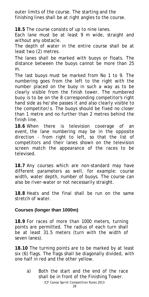outer limits of the course. The starting and the finishing lines shall be at right angles to the course.

**18.5** The course consists of up to nine lanes.

Each lane must be at least 9 m wide, straight and without any obstacle.

The depth of water in the entire course shall be at least two (2) metres.

The lanes shall be marked with buoys or floats. The distance between the buoys cannot be more than 25 m.

The last buoys must be marked from No 1 to 9. The numbering goes from the left to the right with the number placed on the buoy in such a way as to be clearly visible from the finish tower. The numbered buoy is to be on the 8 corresponding competitor's right hand side as he/she passes it and also clearly visible to the competitor/s. The buoys should be fixed no closer than 1 metre and no further than 2 metres behind the finish line.

**18.6** When there is television coverage of an event, the lane numbering may be in the opposite direction - from right to left, so that the list of competitors and their lanes shown on the television screen match the appearance of the races to be televised.

**18.7** Any courses which are non-standard may have different parameters as well, for example: course width, water depth, number of buoys. The course can also be river-water or not necessarily straight.

**18.8** Heats and the final shall be run on the same stretch of water.

#### **Courses (longer than 1000m)**

**18.9** For races of more than 1000 meters, turning points are permitted. The radius of each turn shall be at least 31.5 meters (turn with the width of seven lanes).

**18.10** The turning points are to be marked by at least six (6) flags. The flags shall be diagonally divided, with one half in red and the other yellow.

ICF Canoe Sprint Competition Rules 2013 a) Both the start and the end of the race shall be in front of the Finishing Tower.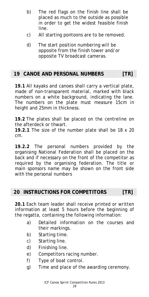- <span id="page-28-0"></span>b) The red flags on the finish line shall be placed as much to the outside as possible in order to get the widest feasible finish line.
- c) All starting pontoons are to be removed.
- d) The start position numbering will be opposite from the finish tower and/or opposite TV broadcast cameras.

### **19 CANOE AND PERSONAL NUMBERS [TR]**

**19.1** All kayaks and canoes shall carry a vertical plate, made of non-transparent material, marked with black numbers on a white background, indicating the lane. The numbers on the plate must measure 15cm in height and 25mm in thickness.

**19.2** The plates shall be placed on the centreline on the afterdeck or thwart.

**19.2.1** The size of the number plate shall be 18 x 20 cm.

**19.2.2** The personal numbers provided by the organising National Federation shall be placed on the back and if necessary on the front of the competitor as required by the organising federation. The title or main sponsors name may be shown on the front side with the personal numbers

#### **20 INSTRUCTIONS FOR COMPETITORS [TR]**

**20.1** Each team leader shall receive printed or written information at least 5 hours before the beginning of the regatta, containing the following information:

- a) Detailed information on the courses and their markings.
- b) Starting time.
- c) Starting line.
- d) Finishing line.
- e) Competitors racing number.
- f) Type of boat control.
- g) Time and place of the awarding ceremony.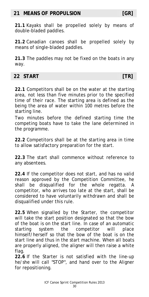#### <span id="page-29-0"></span>**21 MEANS OF PROPULSION** *GRI*

**21.1** Kayaks shall be propelled solely by means of double-bladed paddles.

**21.2** Canadian canoes shall be propelled solely by means of single-bladed paddles.

**21.3** The paddles may not be fixed on the boats in any way.

#### **22 START [TR]**

**22.1** Competitors shall be on the water at the starting area, not less than five minutes prior to the specified time of their race. The starting area is defined as the being the area of water within 100 metres before the starting line.

Two minutes before the defined starting time the competing boats have to take the lane determined in the programme.

**22.2** Competitors shall be at the starting area in time to allow satisfactory preparation for the start.

**22.3** The start shall commence without reference to any absentees.

**22.4** If the competitor does not start, and has no valid reason approved by the Competition Committee, he shall be disqualified for the whole regatta. A competitor, who arrives too late at the start, shall be considered to have voluntarily withdrawn and shall be disqualified under this rule.

**22.5** When signalled by the Starter, the competitor will take the start position designated so that the bow of the boat is on the start line. In case of an automatic starting system the competitor will place himself/herself so that the bow of the boat is on the start line and thus in the start machine. When all boats are properly aligned, the aligner will then raise a white flag.

**22.6** If the Starter is not satisfied with the line-up he/she will call "STOP", and hand over to the Aligner for repositioning.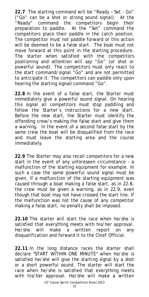**22.7** The starting command will be "Ready – Set - Go" ("Go" can be a shot or strong sound signal). At the "Ready" command the competitors begin their preparation to paddle. At the "Set" command the competitors place their paddle in the catch position. The competitor must not paddle forward or this action will be deemed to be a false start. The boat must not move forward at this point in the starting procedure. The starter when satisfied with the competitors positioning and attention will say "Go" (or shot or powerful sound). The competitors must only react to the start command/signal "Go" and are not permitted to anticipate it. The competitors can paddle only upon hearing the starting signal/command "Go".

**22.8** In the event of a false start, the Starter must immediately give a powerful sound signal. On hearing this signal all competitors must stop paddling and follow the Starter's instructions for a new start. Before the new start, the Starter must identify the offending crew/s making the false start and give them a warning. In the event of a second false start by the same crew the boat will be disqualified from the race and must leave the starting area and the course immediately.

**22.9** The Starter may also recall competitors for a new start in the event of any unforeseen circumstance - a malfunction of the starting equipment for example. In such a case the same powerful sound signal must be given. If a malfunction of the starting equipment was caused through a boat making a false start, as in 22.8, the crew must be given a warning, as in 22.9, even though that boat may not have crossed the start line. If the malfunction was not the cause of any competitor making a false start, no penalty shall be imposed.

**22.10** The starter will start the race when he/she is satisfied that everything meets with his/her approval. He/she will make a written report on any disqualification and forward it to the Chief Official.

**22.11** In the long distance races the starter shall declare "START WITHIN ONE MINUTE" when he/she is satisfied he/she will give the starting signal by a shot or a short powerful sound. The starter will start the race when he/she is satisfied that everything meets with his/her approval. He/she will make a written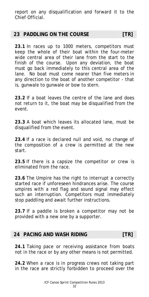<span id="page-31-0"></span>report on any disqualification and forward it to the Chief Official.

#### **23 PADDLING ON THE COURSE [TR]**

**23.1** In races up to 1000 meters, competitors must keep the whole of their boat within the four-meter wide central area of their lane from the start to the finish of the course. Upon any deviation, the boat must go back immediately to this central area of the lane. No boat must come nearer than five meters in any direction to the boat of another competitor - that is, gunwale to gunwale or bow to stern.

**23.2** If a boat leaves the centre of the lane and does not return to it, the boat may be disqualified from the event.

**23.3** A boat which leaves its allocated lane, must be disqualified from the event.

**23.4** If a race is declared null and void, no change of the composition of a crew is permitted at the new start.

**23.5** If there is a capsize the competitor or crew is eliminated from the race.

**23.6** The Umpire has the right to interrupt a correctly started race if unforeseen hindrances arise. The course umpires with a red flag and sound signal may effect such an interruption. Competitors must immediately stop paddling and await further instructions.

**23.7** If a paddle is broken a competitor may not be provided with a new one by a supporter.

#### **24 PACING AND WASH RIDING [TR]**

**24.1** Taking pace or receiving assistance from boats not in the race or by any other means is not permitted.

**24.2** When a race is in progress crews not taking part in the race are strictly forbidden to proceed over the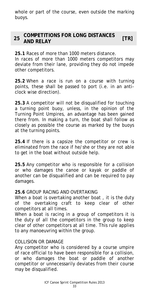<span id="page-32-0"></span>whole or part of the course, even outside the marking buoys.

#### **25** COMPETITIONS FOR LONG DISTANCES **AND RELAY [TR]**

**25.1** Races of more than 1000 meters distance.

In races of more than 1000 meters competitors may deviate from their lane, providing they do not impede other competitors.

**25.2** When a race is run on a course with turning points, these shall be passed to port (i.e. in an anticlock wise direction).

**25.3** A competitor will not be disqualified for touching a turning point buoy, unless, in the opinion of the Turning Point Umpires, an advantage has been gained there from. In making a turn, the boat shall follow as closely as possible the course as marked by the buoys at the turning points.

**25.4** If there is a capsize the competitor or crew is eliminated from the race if he/she or they are not able to get in the boat without outside help.

**25.5** Any competitor who is responsible for a collision or who damages the canoe or kayak or paddle of another can be disqualified and can be required to pay damages.

#### **25.6** GROUP RACING AND OVERTAKING

When a boat is overtaking another boat , it is the duty of the overtaking craft to keep clear of other competitors at all times.

When a boat is racing in a group of competitors it is the duty of all the competitors in the group to keep clear of other competitors at all time. This rule applies to any manoeuvring within the group.

#### COLLISION OR DAMAGE

Any competitor who is considered by a course umpire of race official to have been responsible for a collision, or who damages the boat or paddle of another competitor or unnecessarily deviates from their course may be disqualified.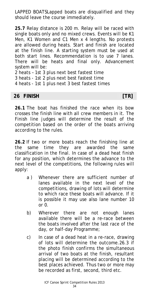<span id="page-33-0"></span>LAPPED BOATSLapped boats are disqualified and they should leave the course immediately.

**25.7** Relay distance is 200 m. Relay will be raced with single boats only and no mixed crews. Events will be K1 Men, K1 Women and C1 Men x 4 lengths. No protests are allowed during heats. Start and finish are located at the finish line. A starting system must be used at both start lines. Recommendation is to use 7 lanes. There will be heats and final only. Advancement system will be:

2 heats – 1st 3 plus next best fastest time

3 heats - 1st 2 plus next best fastest time

4 heats - 1st 1 plus next 3 best fastest times

#### **26 FINISH [TR]**

**26.1** The boat has finished the race when its bow crosses the finish line with all crew members in it. The Finish line judges will determine the result of the competition based on the order of the boats arriving according to the rules.

**26.2** If two or more boats reach the finishing line at the same time they are awarded the same classification in the final. In case of a dead heat finish for any position, which determines the advance to the next level of the competitions, the following rules will apply:

- a ) Whenever there are sufficient number of lanes available in the next level of the competitions, drawing of lots will determine to which race these boats will advance. If it is possible it may use also lane number 10 or  $\Omega$ .
- b) Wherever there are not enough lanes available there will be a re-race between the boats involved after the last race of the day, or half-day Programme;
- c) In case of a dead heat in a re-race, drawing of lots will determine the outcome.26.3 if the photo finish confirms the simultaneous arrival of two boats at the finish, resultant placing will be determined according to the best places achieved. Thus two or more may be recorded as first, second, third etc.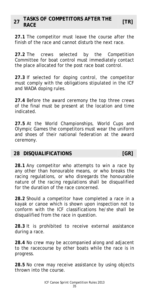#### <span id="page-34-0"></span>**<sup>27</sup>TASKS OF COMPETITORS AFTER THE RACE [TR]**

**27.1** The competitor must leave the course after the finish of the race and cannot disturb the next race.

**27.2** The crews selected by the Competition Committee for boat control must immediately contact the place allocated for the post race boat control.

**27.3** If selected for doping control, the competitor must comply with the obligations stipulated in the ICF and WADA doping rules.

**27.4** Before the award ceremony the top three crews of the final must be present at the location and time indicated.

**27.5** At the World Championships, World Cups and Olympic Games the competitors must wear the uniform and shoes of their national federation at the award ceremony.

#### **28 DISQUALIFICATIONS [GR]**

**28.1** Any competitor who attempts to win a race by any other than honourable means, or who breaks the racing regulations, or who disregards the honourable nature of the racing regulations shall be disqualified for the duration of the race concerned.

**28.2** Should a competitor have completed a race in a kayak or canoe which is shown upon inspection not to conform with the ICF classifications he/she shall be disqualified from the race in question.

**28.3** It is prohibited to receive external assistance during a race.

**28.4** No crew may be accompanied along and adjacent to the racecourse by other boats while the race is in progress.

**28.5** No crew may receive assistance by using objects thrown into the course.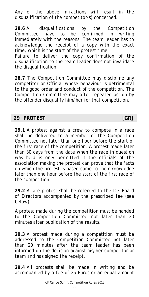<span id="page-35-0"></span>Any of the above infractions will result in the disqualification of the competitor(s) concerned.

**28.6** All disqualifications by the Competition Committee have to be confirmed in writing immediately with the reasons. The team leader has to acknowledge the receipt of a copy with the exact time, which is the start of the protest time.

Failure to deliver the copy confirmation of the disqualification to the team leader does not invalidate the disqualification.

**28.7** The Competition Committee may discipline any competitor or Official whose behaviour is detrimental to the good order and conduct of the competition. The Competition Committee may after repeated action by the offender disqualify him/her for that competition.

#### **29 PROTEST [GR]**

**29.1** A protest against a crew to compete in a race shall be delivered to a member of the Competition Committee not later than one hour before the start of the first race of the competition. A protest made later than 30 days from the date when the race in question was held is only permitted if the officials of the association making the protest can prove that the facts on which the protest is based came to their knowledge later than one hour before the start of the first race of the competition.

**29.2** A late protest shall be referred to the ICF Board of Directors accompanied by the prescribed fee (see below).

A protest made during the competition must be handed to the Competition Committee not later than 20 minutes after publication of the results.

**29.3** A protest made during a competition must be addressed to the Competition Committee not later than 20 minutes after the team leader has been informed on the decision against his/her competitor or team and has signed the receipt.

**29.4** All protests shall be made in writing and be accompanied by a fee of 25 Euros or an equal amount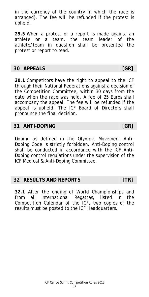in the currency of the country in which the race is arranged). The fee will be refunded if the protest is upheld.

**29.5** When a protest or a report is made against an athlete or a team, the team leader of the athlete/team in question shall be presented the protest or report to read.

#### **30 APPEALS [GR]**

**30.1** Competitors have the right to appeal to the ICF through their National Federations against a decision of the Competition Committee, within 30 days from the date when the race was held. A fee of 25 Euros shall accompany the appeal. The fee will be refunded if the appeal is upheld. The ICF Board of Directors shall pronounce the final decision.

## **31 ANTI-DOPING [GR]**

Doping as defined in the Olympic Movement Anti-Doping Code is strictly forbidden. Anti-Doping control shall be conducted in accordance with the ICF Anti-Doping control regulations under the supervision of the ICF Medical & Anti-Doping Committee.

#### **32 RESULTS AND REPORTS [TR]**

**32.1** After the ending of World Championships and from all International Regattas, listed in the Competition Calendar of the ICF, two copies of the results must be posted to the ICF Headquarters.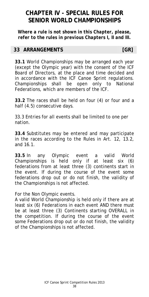# **CHAPTER IV - SPECIAL RULES FOR SENIOR WORLD CHAMPIONSHIPS**

*Where a rule is not shown in this Chapter, please, refer to the rules in previous Chapters I, II and III.* 

### **33 ARRANGEMENTS ICRI**

**33.1** World Championships may be arranged each year (except the Olympic year) with the consent of the ICF Board of Directors, at the place and time decided and in accordance with the ICF Canoe Sprint regulations. Championships shall be open only to National Federations, which are members of the ICF.

**33.2** The races shall be held on four (4) or four and a half (4.5) consecutive days.

33.3 Entries for all events shall be limited to one per nation.

**33.4** Substitutes may be entered and may participate in the races according to the Rules in Art. 12, 13.2, and 16.1.

**33.5** In any Olympic event a valid World Championships is held only if at least six (6) federations from at least three (3) continents start in the event. If during the course of the event some federations drop out or do not finish, the validity of the Championships is not affected.

For the Non Olympic events.

A valid World Championship is held only if there are at least six (6) Federations in each event AND there must be at least three (3) Continents starting OVERALL in the competition. If during the course of the event some Federations drop out or do not finish, the validity of the Championships is not affected.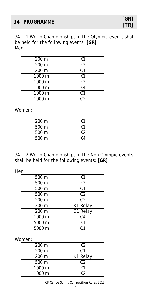# **34 PROGRAMME [GR]**

#### 34.1.1 World Championships in the Olympic events shall be held for the following events: **[GR]** Men:

**[TR]** 

| 200 m  | K <sub>1</sub> |
|--------|----------------|
| 200 m  | K <sub>2</sub> |
| 200 m  | C <sub>1</sub> |
| 1000 m | K <sub>1</sub> |
| 1000 m | K <sub>2</sub> |
| 1000 m | K4             |
| 1000 m | C <sub>1</sub> |
| 1000 m | C <sub>2</sub> |

Women:

| $200 \text{ m}$ | K1             |
|-----------------|----------------|
| $500 \text{ m}$ | К1             |
| $500 \text{ m}$ | K <sub>2</sub> |
| $500 \text{ m}$ | K4             |

34.1.2 World Championships in the Non Olympic events shall be held for the following events: **[GR]**

Men:

| 500 m  | K <sub>1</sub>       |
|--------|----------------------|
| 500 m  | K <sub>2</sub>       |
| 500 m  | C <sub>1</sub>       |
| 500 m  | C <sub>2</sub>       |
| 200 m  | C <sub>2</sub>       |
| 200 m  | K <sub>1</sub> Relay |
| 200 m  | C1 Relay             |
| 1000 m | C <sub>4</sub>       |
| 5000 m | K <sub>1</sub>       |
| 5000 m | $\cap$ 1             |

#### Women:

| 200 m  | K <sub>2</sub> |
|--------|----------------|
| 200 m  | C <sub>1</sub> |
| 200 m  | K1 Relay       |
| 500 m  | C <sub>2</sub> |
| 1000 m | К1             |
| 1000 m | いつ             |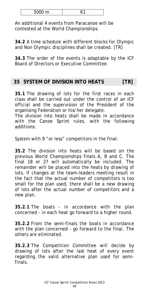| $-0.00$<br>.<br>- |  |
|-------------------|--|
|-------------------|--|

An additional 4 events from Paracanoe will be contested at the World Championships.

**34.2** A time schedule with different blocks for Olympic and Non Olympic disciplines shall be created. [TR]

**34.3** The order of the events is adaptable by the ICF Board of Directors or Executive Committee.

# **35 SYSTEM OF DIVISION INTO HEATS [TR]**

**35.1** The drawing of lots for the first races in each class shall be carried out under the control of an ICF official and the supervision of the President of the organising Federation or his/her delegate.

The division into heats shall be made in accordance with the Canoe Sprint rules, with the following additions:

System with 9 "or less" competitors in the final:

**35.2** The division into heats will be based on the previous World Championships finals A, B and C. The final 18 or 27 will automatically be included. The remainder will be placed into the heats by drawing of lots. If changes at the team-leaders meeting result in the fact that the actual number of competitors is too small for the plan used, there shall be a new drawing of lots after the actual number of competitors and a new plan.

**35.2.1** The boats - in accordance with the plan concerned - in each heat go forward to a higher round.

**35.2.2** From the semi-finals the boats in accordance with the plan concerned - go forward to the final. The others are eliminated.

**35.2.3** The Competition Committee will decide by drawing of lots after the last heat of every event regarding the valid alternative plan used for semifinals.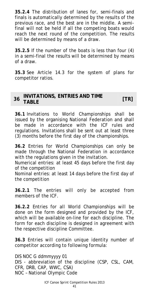**35.2.4** The distribution of lanes for, semi-finals and finals is automatically determined by the results of the previous race, and the best are in the middle. A semifinal will not be held if all the competing boats would reach the next round of the competition. The results will be determined by means of a draw.

**35.2.5** If the number of the boats is less than four (4) in a semi-final the results will be determined by means of a draw.

**35.3** See Article 14.3 for the system of plans for competitor ratios.

## **<sup>36</sup>INVITATIONS, ENTRIES AND TIME TABLE [TR]**

**36.1** Invitations to World Championships shall be issued by the organising National Federation and shall be made in accordance with the ICF rules and regulations. Invitations shall be sent out at least three (3) months before the first day of the championships.

**36.2** Entries for World Championships can only be made through the National Federation in accordance with the regulations given in the invitation.

Numerical entries: at least 45 days before the first day of the competition

Nominal entries: at least 14 days before the first day of the competition

**36.2.1** The entries will only be accepted from members of the ICF.

**36.2.2** Entries for all World Championships will be done on the form designed and provided by the ICF, which will be available on-line for each discipline. The form for each discipline is designed in agreement with the respective discipline Committee.

**36.3** Entries will contain unique identity number of competitor according to following formula:

DIS NOC G ddmmyyyy 01 DIS - abbreviation of the discipline (CSP, CSL, CAM, CFR, DRB, CAP, WWC, CSA) NOC – National Olympic Code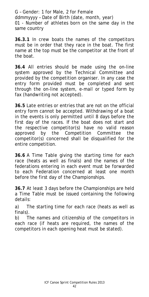G – Gender: 1 for Male, 2 for Female ddmmyyyy – Date of Birth (date, month, year) 01 - Number of athletes born on the same day in the same country

**36.3.1** In crew boats the names of the competitors must be in order that they race in the boat. The first name at the top must be the competitor at the front of the boat.

**36.4** All entries should be made using the on-line system approved by the Technical Committee and provided by the competition organiser. In any case the entry form provided must be completed and sent through the on-line system, e-mail or typed form by fax (handwriting not accepted).

**36.5** Late entries or entries that are not on the official entry form cannot be accepted. Withdrawing of a boat in the events is only permitted until 8 days before the first day of the races. If the boat does not start and the respective competitor(s) have no valid reason approved by the Competition Committee the competitor(s) concerned shall be disqualified for the entire competition.

**36.6** A Time Table giving the starting time for each race (heats as well as finals) and the names of the federations entering in each event must be forwarded to each Federation concerned at least one month before the first day of the Championships.

**36.7** At least 3 days before the Championships are held a Time Table must be issued containing the following details:

a) The starting time for each race (heats as well as finals).

b) The names and citizenship of the competitors in each race (if heats are required, the names of the competitors in each opening heat must be stated).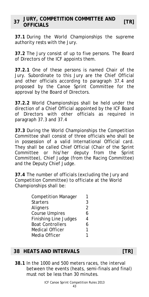### **38 HEATS AND INTERVALS [TR]**

**38.1** In the 1000 and 500 meters races, the interval between the events (heats, semi-finals and final) must not be less than 30 minutes.

#### **<sup>37</sup>JURY, COMPETITION COMMITTEE AND OFFICIALS [TR]**

**37.1** During the World Championships the supreme authority rests with the Jury.

**37.2** The Jury consist of up to five persons. The Board of Directors of the ICF appoints them.

**37.2.1** One of these persons is named Chair of the Jury. Subordinate to this Jury are the Chief Official and other officials according to paragraph 37.4 and proposed by the Canoe Sprint Committee for the approval by the Board of Directors.

**37.2.2** World Championships shall be held under the direction of a Chief Official appointed by the ICF Board of Directors with other officials as required in paragraph 37.3 and 37.4

**37.3** During the World Championships the Competition Committee shall consist of three officials who shall be in possession of a valid International Official card. They shall be called Chief Official (Chair of the Sprint Committee or his/her deputy from the Sprint Committee), Chief Judge (from the Racing Committee) and the Deputy Chief Judge.

**37.4** The number of officials (excluding the Jury and Competition Committee) to officiate at the World Championships shall be:

| <b>Competition Manager</b>   |                |
|------------------------------|----------------|
| <b>Starters</b>              | 3              |
| Aligners                     | $\overline{2}$ |
| <b>Course Umpires</b>        | 6              |
| <b>Finishing Line Judges</b> | 4              |
| <b>Boat Controllers</b>      | 6              |
| <b>Medical Officer</b>       | 1              |
| Media Officer                |                |
|                              |                |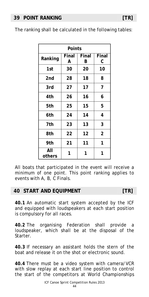The ranking shall be calculated in the following tables:

| <b>Points</b> |            |            |                |
|---------------|------------|------------|----------------|
| Ranking       | Final<br>A | Final<br>B | Final<br>С     |
| 1st           | 30         | 20         | 10             |
| 2nd           | 28         | 18         | 8              |
| 3rd           | 27         | 17         | 7              |
| 4th           | 26         | 16         | 6              |
| 5th           | 25         | 15         | 5              |
| 6th           | 24         | 14         | 4              |
| 7th           | 23         | 13         | 3              |
| 8th           | 22         | 12         | $\overline{2}$ |
| 9th           | 21         | 11         | 1              |
| All<br>others | 1          | 1          |                |

All boats that participated in the event will receive a minimum of one point. This point ranking applies to events with A, B, C Finals.

#### **40 START AND EQUIPMENT [TR]**

**40.1** An automatic start system accepted by the ICF and equipped with loudspeakers at each start position is compulsory for all races.

**40.2** The organising Federation shall provide a loudspeaker, which shall be at the disposal of the Starter.

**40.3** If necessary an assistant holds the stern of the boat and release it on the shot or electronic sound.

**40.4** There must be a video system with camera/VCR with slow replay at each start line position to control the start of the competitors at World Championships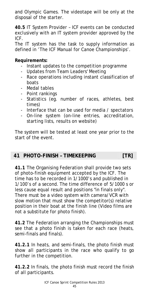and Olympic Games. The videotape will be only at the disposal of the starter.

**40.5** IT System Provider – ICF events can be conducted exclusively with an IT system provider approved by the ICF.

The IT system has the task to supply information as defined in 'The ICF Manual for Canoe Championships'.

#### **Requirements:**

- Instant updates to the competition programme
- Updates from Team Leaders' Meeting
- Race operations including instant classification of boats
- Medal tables
- Point rankings
- Statistics (eg. number of races, athletes, best times)
- Interface that can be used for media / spectators
- On-line system (on-line entries, accreditation, starting lists, results on website)

The system will be tested at least one year prior to the start of the event.

# **41 PHOTO-FINISH – TIMEKEEPING [TR]**

**41.1** The Organising Federation shall provide two sets of photo-finish equipment accepted by the ICF. The time has to be recorded in 1/1000's and published in 1/100's of a second. The time difference of 5/1000 s or less cause equal result and positions "in finals only". There must be a video system with camera/VCR with slow motion that must show the competitor(s) relative position in their boat at the finish line (Video films are not a substitute for photo finish).

**41.2** The Federation arranging the Championships must see that a photo finish is taken for each race (heats, semi-finals and finals).

**41.2.1** In heats, and semi-finals, the photo finish must show all participants in the race who qualify to go further in the competition.

**41.2.2** In finals, the photo finish must record the finish of all participants.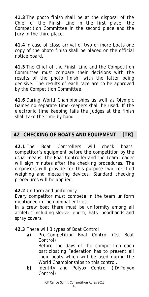**41.3** The photo finish shall be at the disposal of the Chief of the Finish Line in the first place, the Competition Committee in the second place and the Jury in the third place.

**41.4** In case of close arrival of two or more boats one copy of the photo finish shall be placed on the official notice board.

**41.5** The Chief of the Finish Line and the Competition Committee must compare their decisions with the results of the photo finish, with the latter being decisive. The results of each race are to be approved by the Competition Committee.

**41.6** During World Championships as well as Olympic Games no separate time-keepers shall be used. If the electronic time keeping fails the judges at the finish shall take the time by hand.

# **42 CHECKING OF BOATS AND EQUIPMENT [TR]**

**42.1** The Boat Controllers will check boats, competitor's equipment before the competition by the usual means. The Boat Controller and the Team Leader will sign minutes after the checking procedures. The organisers will provide for this purpose two certified weighing and measuring devices. Standard checking procedures will be applied.

#### **42.2** Uniform and uniformity

Every competitor must compete in the team uniform mentioned in the nominal entries.

In a crew boat there must be uniformity among all athletes including sleeve length, hats, headbands and spray covers.

**42.3** There will 3 types of Boat Control

- **a)** Pre-Competition Boat Control (1st Boat Control) Before the days of the competition each participating Federation has to present all their boats which will be used during the World Championships to this control.
- **b)** Identity and Polyox Control (ID/Polyox Control)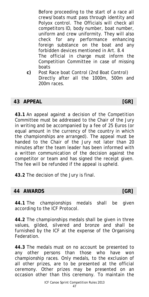Before proceeding to the start of a race all crews/boats must pass through identity and Polyox control. The Officials will check all competitors ID, body number, boat number, uniform and crew uniformity. They will also check for any performance enhancing foreign substance on the boat and any forbidden devices mentioned in Art. 8.4 The official in charge must inform the Competition Committee in case of missing boats

**c)** Post Race boat Control (2nd Boat Control) Directly after all the 1000m, 500m and 200m races.

#### **43 APPEAL [GR]**

**43.1** An appeal against a decision of the Competition Committee must be addressed to the Chair of the Jury in writing and be accompanied by a fee of 25 Euros (or equal amount in the currency of the country in which the championships are arranged). The appeal must be handed to the Chair of the Jury not later than 20 minutes after the team leader has been informed with a written communication of the decision against the competitor or team and has signed the receipt given. The fee will be refunded if the appeal is upheld.

**43.2** The decision of the Jury is final.

#### **44 AWARDS [GR]**

**44.1** The championships medals shall be given according to the ICF Protocol.

**44.2** The championships medals shall be given in three values, gilded, silvered and bronze and shall be furnished by the ICF at the expense of the Organising Federation.

**44.3** The medals must on no account be presented to any other persons than those who have won championship races. Only medals, to the exclusion of all other prizes, are to be presented at the official ceremony. Other prizes may be presented on an occasion other than this ceremony. To maintain the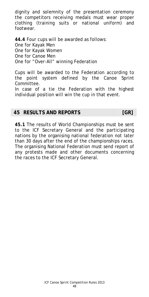dignity and solemnity of the presentation ceremony the competitors receiving medals must wear proper clothing (training suits or national uniform) and footwear.

**44.4** Four cups will be awarded as follows: One for Kayak Men One for Kayak Women One for Canoe Men One for "Over-All" winning Federation

Cups will be awarded to the Federation according to the point system defined by the Canoe Sprint Committee.

In case of a tie the Federation with the highest individual position will win the cup in that event.

#### **45 RESULTS AND REPORTS [GR]**

**45.1** The results of World Championships must be sent to the ICF Secretary General and the participating nations by the organising national federation not later than 30 days after the end of the championships races. The organising National Federation must send report of any protests made and other documents concerning the races to the ICF Secretary General.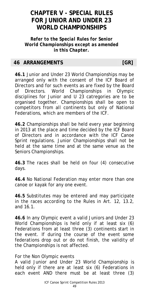# **CHAPTER V - SPECIAL RULES FOR JUNIOR AND UNDER 23 WORLD CHAMPIONSHIPS**

*Refer to the Special Rules for Senior World Championships except as amended in this Chapter.* 

### **46 ARRANGEMENTS In the USA CONSTRUCTER CONSTRUCTER**

**46.1** Junior and Under 23 World Championships may be arranged only with the consent of the ICF Board of Directors and for such events as are fixed by the Board of Directors. World Championships in Olympic disciplines for Junior and U 23 catregories are to be organised together. Championships shall be open to competitors from all continents but only of National Federations, which are members of the ICF.

**46.2** Championships shall be held every year beginning in 2013 at the place and time decided by the ICF Board of Directors and in accordance with the ICF Canoe Sprint regulations. Junior Championships shall not be held at the same time and at the same venue as the Seniors Championships.

**46.3** The races shall be held on four (4) consecutive days.

**46.4** No National Federation may enter more than one canoe or kayak for any one event.

**46.5** Substitutes may be entered and may participate in the races according to the Rules in Art. 12, 13.2, and 16.1.

**46.6** In any Olympic event a valid Juniors and Under 23 World Championships is held only if at least six (6) Federations from at least three  $(3)$  continents start in the event. If during the course of the event some federations drop out or do not finish, the validity of the Championships is not affected.

#### For the Non Olympic events

A valid Junior and Under 23 World Championship is held only if there are at least six (6) Federations in each event AND there must be at least three (3)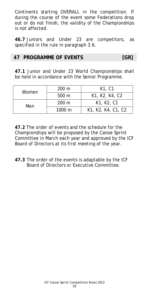Continents starting OVERALL in the competition. If during the course of the event some Federations drop out or do not finish, the validity of the Championships is not affected.

**46.7** Juniors and Under 23 are competitors, as specified in the rule in paragraph 3.6.

## **47 PROGRAMME OF EVENTS** [GR]

**47.1** Junior and Under 23 World Championships shall be held in accordance with the Senior Programme.

| Women | $200 \text{ m}$     | K1, C1                                                            |
|-------|---------------------|-------------------------------------------------------------------|
|       | $500 \; \mathrm{m}$ | K <sub>1</sub> , K <sub>2</sub> , K <sub>4</sub> , C <sub>2</sub> |
| Men   | $200 \text{ m}$     | K <sub>1</sub> , K <sub>2</sub> , C <sub>1</sub>                  |
|       | $1000 \text{ m}$    | K1, K2, K4, C1, C2                                                |

**47.2** The order of events and the schedule for the Championships will be proposed by the Canoe Sprint Committee in March each year and approved by the ICF Board of Directors at its first meeting of the year.

**47.3** The order of the events is adaptable by the ICF Board of Directors or Executive Committee.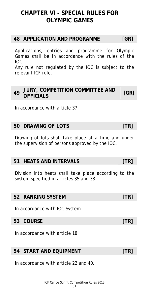# **CHAPTER VI - SPECIAL RULES FOR OLYMPIC GAMES**

## **48 APPLICATION AND PROGRAMME [GR]**

Applications, entries and programme for Olympic Games shall be in accordance with the rules of the IOC.

Any rule not regulated by the IOC is subject to the relevant ICF rule.

### **<sup>49</sup>JURY, COMPETITION COMMITTEE AND OFFICIALS** *CON* **CONSTRUCTER [GR]**

In accordance with article 37.

#### **50 DRAWING OF LOTS [TR]**

Drawing of lots shall take place at a time and under the supervision of persons approved by the IOC.

#### **51 HEATS AND INTERVALS [TR]**

Division into heats shall take place according to the system specified in articles 35 and 38.

# **52 RANKING SYSTEM [TR]**

In accordance with IOC System.

#### **53 COURSE [TR]**

In accordance with article 18.

#### **54 START AND EQUIPMENT [TR]**

In accordance with article 22 and 40.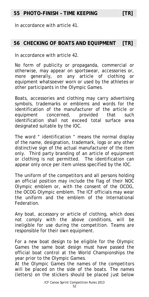In accordance with article 41.

## **56 CHECKING OF BOATS AND EQUIPMENT [TR]**

In accordance with article 42.

No form of publicity or propaganda, commercial or otherwise, may appear on sportswear, accessories or, more generally, on any article of clothing or equipment whatsoever worn or used by the athletes or other participants in the Olympic Games.

Boats, accessories and clothing may carry advertising symbols, trademarks or emblems and words for the identification of the manufacturer of the article or equipment concerned, provided that such identification shall not exceed total surface area designated suitable by the IOC.

The word " identification " means the normal display of the name, designation, trademark, logo or any other distinctive sign of the actual manufacturer of the item only. Third party branding of an article of equipment or clothing is not permitted. The identification can appear only once per item unless specified by the IOC.

The uniform of the competitors and all persons holding an official position may include the flag of their NOC Olympic emblem or, with the consent of the OCOG, the OCOG Olympic emblem. The ICF officials may wear the uniform and the emblem of the International **Federation** 

Any boat, accessory or article of clothing, which does not comply with the above conditions, will be ineligible for use during the competition. Teams are responsible for their own equipment.

For a new boat design to be eligible for the Olympic Games the same boat design must have passed the official boat control at the World Championships the year prior to the Olympic Games.

At the Olympic Games the names of the competitors will be placed on the side of the boats. The names (letters) on the stickers should be placed just below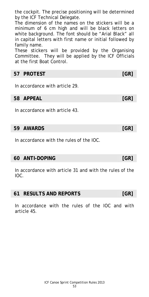the cockpit. The precise positioning will be determined by the ICF Technical Delegate.

The dimension of the names on the stickers will be a minimum of 6 cm high and will be black letters on white background. The font should be "Arial Black" all in capital letters with first name or initial followed by family name.

These stickers will be provided by the Organising Committee. They will be applied by the ICF Officials at the first Boat Control.

### **57 PROTEST [GR]**

In accordance with article 29.

#### **58 APPEAL [GR]**

In accordance with article 43.

#### **59 AWARDS [GR]**

In accordance with the rules of the IOC.

#### **60 ANTI-DOPING** *GRI*

In accordance with article 31 and with the rules of the IOC.

| <b>61 RESULTS AND REPORTS</b> | [GR] |
|-------------------------------|------|
|                               |      |

In accordance with the rules of the IOC and with article 45.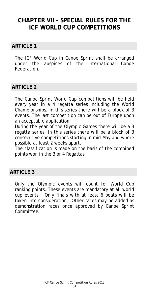# **CHAPTER VII - SPECIAL RULES FOR THE ICF WORLD CUP COMPETITIONS**

#### **ARTICLE 1**

The ICF World Cup in Canoe Sprint shall be arranged under the auspices of the International Canoe Federation.

#### **ARTICLE 2**

The Canoe Sprint World Cup competitions will be held every year in a 4 regatta series including the World Championships. In this series there will be a block of 3 events. The last competition can be out of Europe upon an acceptable application.

During the year of the Olympic Games there will be a 3 regatta series. In this series there will be a block of 3 consecutive competitions starting in mid May and where possible at least 2 weeks apart.

The classification is made on the basis of the combined points won in the 3 or 4 Regattas.

#### **ARTICLE 3**

Only the Olympic events will count for World Cup ranking points. These events are mandatory at all world cup events. Only finals with at least 6 boats will be taken into consideration. Other races may be added as demonstration races once approved by Canoe Sprint Committee.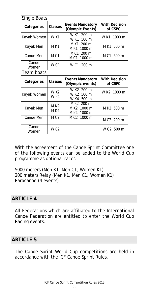| Single Boats   |                                     |                                                      |                                 |
|----------------|-------------------------------------|------------------------------------------------------|---------------------------------|
| Categories     | <b>Classes</b>                      | <b>Events Mandatory</b><br>(Olympic Events)          | <b>With Decision</b><br>of CSPC |
| Kayak Women    | <b>WK1</b>                          | W K1 200 m<br>500 m<br><b>WK1</b>                    | W K1<br>1000 m                  |
| Kayak Men      | <b>MK1</b>                          | <b>MK1</b><br>$200 \text{ m}$<br>1000 m<br>M K1      | M K1<br>500 m                   |
| Canoe Men      | M <sub>C1</sub>                     | M <sub>C1</sub><br>$200 \text{ m}$<br>M C1<br>1000 m | M C1 500 m                      |
| Canoe<br>Women | <b>WC1</b>                          | W C1 200 m                                           |                                 |
| Team boats     |                                     |                                                      |                                 |
| Categories     | <b>Classes</b>                      | <b>Events Mandatory</b><br>(Olympic events)          | <b>With Decision</b><br>of CSPC |
| Kayak Women    | <b>WK2</b><br><b>WK4</b>            | W K2 200 m<br>W K2<br>500 m<br>W K4<br>500 m         | W K2 1000 m                     |
| Kayak Men      | M K <sub>2</sub><br>M <sub>K4</sub> | MK2 200 m<br>MK2 1000 m<br>1000 m<br>M K4            | MK2 500 m                       |
| Canoe Men      | M <sub>C2</sub>                     | M C2 1000 m                                          | M C2 200 m                      |
| Canoe<br>Women | W <sub>C2</sub>                     |                                                      | W C2 500 m                      |

With the agreement of the Canoe Sprint Committee one of the following events can be added to the World Cup programme as optional races:

5000 meters (Men K1, Men C1, Women K1) 200 meters Relay (Men K1, Men C1, Women K1) Paracanoe (4 events)

#### **ARTICLE 4**

All Federations which are affiliated to the International Canoe Federation are entitled to enter the World Cup Racing events.

#### **ARTICLE 5**

The Canoe Sprint World Cup competitions are held in accordance with the ICF Canoe Sprint Rules.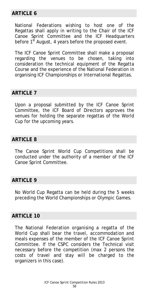#### **ARTICLE 6**

National Federations wishing to host one of the Regattas shall apply in writing to the Chair of the ICF Canoe Sprint Committee and the ICF Headquarters before  $1<sup>st</sup>$  August, 4 years before the proposed event.

The ICF Canoe Sprint Committee shall make a proposal regarding the venues to be chosen, taking into consideration the technical equipment of the Regatta Course and the experience of the National Federation in organising ICF Championships or International Regattas.

#### **ARTICLE 7**

Upon a proposal submitted by the ICF Canoe Sprint Committee, the ICF Board of Directors approves the venues for holding the separate regattas of the World Cup for the upcoming years.

#### **ARTICLE 8**

The Canoe Sprint World Cup Competitions shall be conducted under the authority of a member of the ICF Canoe Sprint Committee.

#### **ARTICLE 9**

No World Cup Regatta can be held during the 5 weeks preceding the World Championships or Olympic Games.

#### **ARTICLE 10**

The National Federation organising a regatta of the World Cup shall bear the travel, accommodation and meals expenses of the member of the ICF Canoe Sprint Committee. If the CSPC considers the Technical visit necessary before the competition (max 2 persons the costs of travel and stay will be charged to the organizers in this case).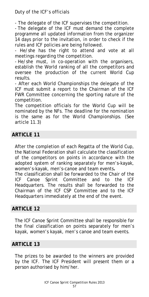Duty of the ICF's officials

- The delegate of the ICF supervises the competition.

- The delegate of the ICF must demand the complete programme all updated information from the organizer 14 days prior to the invitation, in order to check if the rules and ICF policies are being followed.

- He/she has the right to attend and vote at all meetings regarding the competition.

- He/she must, in co-operation with the organisers, establish the World ranking of all the competitors and oversee the production of the current World Cup results.

- After each World Championships the delegate of the ICF must submit a report to the Chairman of the ICF FWR Committee concerning the sporting nature of the competition.

The competition officials for the World Cup will be nominated by the NFs. The deadline for the nomination is the same as for the World Championships. (See article 11.3)

# **ARTICLE 11**

After the completion of each Regatta of the World Cup, the National Federation shall calculate the classification of the competitors on points in accordance with the adopted system of ranking separately for men's-kayak, women's-kayak, men's-canoe and team events**.** 

The classification shall be forwarded to the Chair of the ICF Canoe Sprint Committee and to the ICF Headquarters. The results shall be forwarded to the Chairman of the ICF CSP Committee and to the ICF Headquarters immediately at the end of the event.

#### **ARTICLE 12**

The ICF Canoe Sprint Committee shall be responsible for the final classification on points separately for men's kayak, women's kayak, men's canoe and team events.

#### **ARTICLE 13**

The prizes to be awarded to the winners are provided by the ICF. The ICF President will present them or a person authorised by him/her.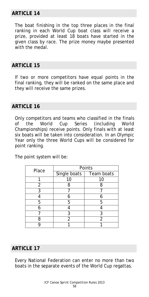### **ARTICLE 14**

The boat finishing in the top three places in the final ranking in each World Cup boat class will receive a prize, provided at least 18 boats have started in the given class by race. The prize money maybe presented with the medal.

#### **ARTICLE 15**

If two or more competitors have equal points in the final ranking, they will be ranked on the same place and they will receive the same prizes.

#### **ARTICLE 16**

Only competitors and teams who classified in the finals of the World Cup Series (including World Championships) receive points. Only finals with at least six boats will be taken into consideration. In an Olympic Year only the three World Cups will be considered for point ranking.

The point system will be:

| Place | Points         |            |  |
|-------|----------------|------------|--|
|       | Single boats   | Team boats |  |
|       | 10             | 10         |  |
| 2     |                |            |  |
| 3     |                |            |  |
|       |                |            |  |
| 5     | 5              | 5          |  |
|       |                |            |  |
|       |                |            |  |
|       | $\mathfrak{D}$ | 2          |  |
|       |                |            |  |

#### **ARTICLE 17**

Every National Federation can enter no more than two boats in the separate events of the World Cup regattas.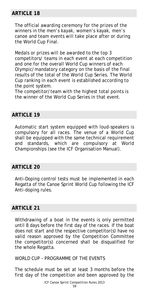### **ARTICLE 18**

The official awarding ceremony for the prizes of the winners in the men's kayak, women's kayak, men's canoe and team events will take place after or during the World Cup Final.

Medals or prizes will be awarded to the top 3 competitors/ teams in each event at each competition and one for the overall World Cup winners of each Olympic/mandatory category on the basis of the final results of the total of the World Cup Series. The World Cup ranking in each event is established according to the point system.

The competitor/team with the highest total points is the winner of the World Cup Series in that event.

#### **ARTICLE 19**

Automatic start system equipped with loud-speakers is compulsory for all races. The venue of a World Cup shall be equipped with the same technical requirement and standards, which are compulsory at World Championships (see the ICF Organisation Manual).

#### **ARTICLE 20**

Anti-Doping control tests must be implemented in each Regatta of the Canoe Sprint World Cup following the ICF Anti-doping rules.

#### **ARTICLE 21**

Withdrawing of a boat in the events is only permitted until 8 days before the first day of the races. If the boat does not start and the respective competitor(s) have no valid reason approved by the Competition Committee the competitor(s) concerned shall be disqualified for the whole Regatta.

WORLD CUP - PROGRAMME OF THE EVENTS

The schedule must be set at least 3 months before the first day of the competition and been approved by the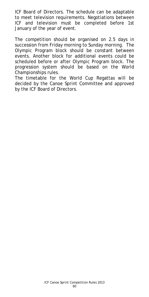ICF Board of Directors. The schedule can be adaptable to meet television requirements. Negotiations between ICF and television must be completed before 1st January of the year of event.

The competition should be organised on 2.5 days in succession from Friday morning to Sunday morning. The Olympic Program block should be constant between events. Another block for additional events could be scheduled before or after Olympic Program block. The progression system should be based on the World Championships rules.

The timetable for the World Cup Regattas will be decided by the Canoe Sprint Committee and approved by the ICF Board of Directors.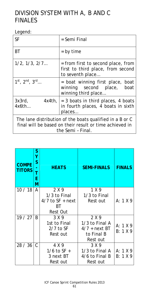# DIVISION SYSTEM WITH A, B AND C FINALES

Legend:

| <b>SF</b>                                                                                                                                | $=$ Semi Final                                                                                 |
|------------------------------------------------------------------------------------------------------------------------------------------|------------------------------------------------------------------------------------------------|
| BT                                                                                                                                       | $=$ by time                                                                                    |
| $1/2$ , $1/3$ , $2/7$                                                                                                                    | = from first to second place, from<br>first to third place, from second<br>to seventh place    |
| $1^{st}$ , $2^{nd}$ , $3^{rd}$                                                                                                           | = boat winning first place, boat<br>winning second place,<br>boat<br>winning third place       |
| $3x3rd$ ,<br>4x6th                                                                                                                       | $4x4th$ , $= 3$ boats in third places, 4 boats<br>in fourth places, 4 boats in sixth<br>places |
| The lane distribution of the boats qualified in a B or C<br>final will be based on their result or time achieved in<br>the Semi - Final. |                                                                                                |

| <b>COMPE</b><br><b>TITORS</b> | S<br>Ÿ<br>S<br>E<br>М | <b>HEATS</b>       | <b>SEMI-FINALS</b> | <b>FINALS</b> |
|-------------------------------|-----------------------|--------------------|--------------------|---------------|
| 10/18                         | A                     | 2 X 9              | 1 X 9              |               |
|                               |                       | 1/3 to Final       | 1/3 to Final       |               |
|                               |                       | $4/7$ to SF + next | Rest out           | A: 1 X 9      |
|                               |                       | ВT                 |                    |               |
|                               |                       | <b>Rest Out</b>    |                    |               |
| 19/27                         | B                     | 3 X 9              | 2 X 9              |               |
|                               |                       | 1st to Final       | 1/3 to Final A     | A: 1 X 9      |
|                               |                       | $2/7$ to SF        | 4/7 + next BT      | B: 1 X 9      |
|                               |                       | Rest out           | to Final B         |               |
|                               |                       |                    | Rest out           |               |
| 28 / 36                       | C                     | 4 X 9              | 3 X 9              |               |
|                               |                       | $1/6$ to SF +      | 1/3 to Final A     | A: 1 X 9      |
|                               |                       | 3 next BT          | 4/6 to Final B     | B: 1 X 9      |
|                               |                       | Rest out           | Rest out           |               |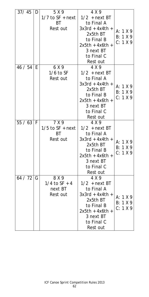| 37/45   | D | 5 X 9              | 4 X 9                  |            |
|---------|---|--------------------|------------------------|------------|
|         |   | $1/7$ to SF + next | $1/2$ + next BT        |            |
|         |   | BT                 | to Final A             |            |
|         |   | Rest out           | $3x3rd + 4x4th +$      | A: 1 X 9   |
|         |   |                    | $2x5th$ BT             | B: 1 X 9   |
|         |   |                    | to Final B             |            |
|         |   |                    | $2x5th + 4x6th +$      | C: 1 X 9   |
|         |   |                    | 3 next BT              |            |
|         |   |                    | to Final C             |            |
|         |   |                    | Rest out               |            |
| 46 / 54 | F | 6 X 9              | 4 X 9                  |            |
|         |   | $1/6$ to SF        | $1/2$ + next BT        |            |
|         |   | Rest out           | to Final A             |            |
|         |   |                    | 3x3rd + 4x4th +        |            |
|         |   |                    | 2x5th BT               | A: 1 X 9   |
|         |   |                    | to Final B             | B: 1 X 9   |
|         |   |                    |                        | C: 1 X 9   |
|         |   |                    | 2x5th + 4x6th +        |            |
|         |   |                    | 3 next BT              |            |
|         |   |                    | to Final C             |            |
|         |   |                    | Rest out               |            |
| 55 / 63 | F | 7 X 9              | 4 X 9                  |            |
|         |   | $1/5$ to SF + next | $1/2$ + next BT        |            |
|         |   | ВT                 | to Final A             |            |
|         |   | Rest out           | $3x3rd + 4x4th +$      | A: $1 X 9$ |
|         |   |                    | 2x5th BT               | B: 1 X 9   |
|         |   |                    | to Final B             | C: 1 X 9   |
|         |   |                    | $2x5th + 4x6th +$      |            |
|         |   |                    | 3 next BT              |            |
|         |   |                    | to Final C             |            |
|         |   |                    | Rest out               |            |
| 64/72   | G | 8 X 9              | 4 X 9                  |            |
|         |   | 1/4 to $SF + 4$    | $1/2$ + next BT        |            |
|         |   | next BT            | to Final A             |            |
|         |   | Rest out           | $3x3rd + 4x4th +$      |            |
|         |   |                    | 2x5th BT               | A: 1 X 9   |
|         |   |                    | to Final B             | B: 1 X 9   |
|         |   |                    | $2x5th + 4x6th +$      | C: 1 X 9   |
|         |   |                    | 3 next BT              |            |
|         |   |                    |                        |            |
|         |   |                    |                        |            |
|         |   |                    | to Final C<br>Rest out |            |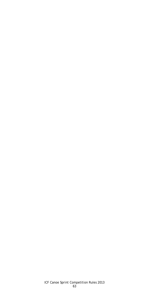ICF Canoe Sprint Competition Rules 2013 63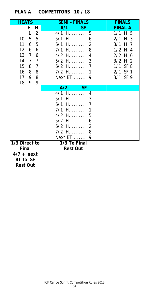#### **PLAN A COMPETITORS 10 / 18**

| <b>HEATS</b>                            | <b>SEMI - FINALS</b>       | <b>FINALS</b>              |
|-----------------------------------------|----------------------------|----------------------------|
| H.<br>Н                                 | A/1<br><b>SF</b>           | <b>FINAL A</b>             |
| 1<br>$\overline{2}$                     | $4/1$ H.<br>5              | 1/1<br>H<br>5              |
| 5<br>5<br>10.                           | 5/1<br>$H.$<br>6           | 3<br>2/1<br>H              |
| 5<br>11.<br>6                           | $\overline{2}$<br>$6/1$ H. | $\overline{7}$<br>3/1<br>H |
| 12.<br>6<br>6                           | 7/1<br>$H.$<br>8           | 1/2<br>H.<br>4             |
| 13.<br>$\overline{7}$<br>6              | $4/2$ H.<br>4              | 2/2<br>H<br>6              |
| 14.<br>$\overline{7}$<br>$\overline{7}$ | $5/2$ H.<br>3              | $3/2$ H<br>2               |
| 15.<br>8<br>$\overline{7}$              | $6/2$ H.<br>$\overline{7}$ | 1/1<br>SF <sub>8</sub>     |
| 16.<br>8<br>8                           | $7/2$ H.<br>1              | SF <sub>1</sub><br>2/1     |
| 17.<br>9<br>8                           | Next BT<br>9               | 3/1 SF 9                   |
| 18.<br>9<br>9                           |                            |                            |
|                                         | A/2<br><b>SF</b>           |                            |
|                                         | $4/1$ H.<br>4              |                            |
|                                         | 5/1<br>H.<br>3             |                            |
|                                         | $6/1$ H.<br>7              |                            |
|                                         | 7/1<br>H.<br>1             |                            |
|                                         | $4/2$ H.<br>5              |                            |
|                                         | $5/2$ H.<br>6              |                            |
|                                         | 6/2<br>H.<br>2             |                            |
|                                         | $7/2$ H.<br>8              |                            |
|                                         | Next BT<br>9               |                            |
| 1/3 Direct to                           | 1/3 To Final               |                            |
| Final                                   | <b>Rest Out</b>            |                            |
| $4/7 + \text{next}$                     |                            |                            |
| BT to SF                                |                            |                            |
| <b>Rest Out</b>                         |                            |                            |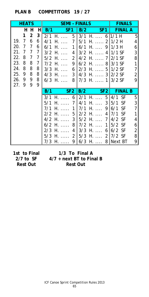#### **PLAN B COMPETITORS 19 / 27**

|     | <b>HEATS</b> |                |                |     |                 |                | <b>SEMI - FINALS</b> |                               |                 |          | <b>FINALS</b>  |                |
|-----|--------------|----------------|----------------|-----|-----------------|----------------|----------------------|-------------------------------|-----------------|----------|----------------|----------------|
|     | н            | н              | НI             | B/1 | SF <sub>1</sub> |                | B/2                  |                               | SF <sub>1</sub> | l a      | <b>FINAL A</b> |                |
|     | 1            | $\overline{2}$ | 3              | 2/1 | Н.              | 5              | 3/1                  | $H_{\circ}$<br>$\sim 100$     | 6               | $1/1$ H  |                | 5              |
| 19. | 7            | 6              | 6              | 4/1 | $H$ .           | 7              | 5/1                  |                               | $\overline{2}$  | $1/2$ H  |                | 4              |
| 20. | 7            | 7              | 6              | 6/1 | н               | 1              | 6/1                  | H                             | 9               | $1/3$ H  |                | 6              |
| 21. | 7            | 7              | 7              | 3/2 | H               | 4              | 3/2                  | H                             | 4               | $1/1$ SF |                | 3              |
| 22. | 8            | 7              | $\overline{7}$ | 5/2 |                 | $\overline{2}$ | 4/2                  |                               | 7               | 2/1      | <b>SF</b>      | 8              |
| 23. | 8            | 8              | 7              | 7/2 | $H_{\cdot}$     | 9              | 6/2                  | $H_{\circ}$                   | 8               | $3/1$ SF |                | 1              |
| 24. | 8            | 8              | 8              | 3/3 | H               | 6              | 2/3                  | н                             | 5               | $1/2$ SF |                | 7              |
| 25. | 9            | 8              | 8              | 4/3 | Н.              | 3              | 4/3                  | H                             | 3               | $2/2$ SF |                | $\overline{2}$ |
| 26. | 9            | 9              | 8              | 6/3 | Η.              | 8              | 7/3                  | Η.                            | 1               | $3/2$ SF |                | 9              |
| 27. | 9            | 9              | 9              |     |                 |                |                      |                               |                 |          |                |                |
|     |              |                |                | B/1 | SF2             |                | B/2                  |                               | SF2             |          | <b>FINAL B</b> |                |
|     |              |                |                | 3/1 |                 | 6              | 2/1                  | $H_{\cdot}$<br>$\mathbb{R}^2$ | 5               | 4/1      | <b>SF</b>      | 5              |
|     |              |                |                | 5/1 |                 | 7              | 4/1                  |                               | 3               | 5/1      | <b>SF</b>      | 3              |
|     |              |                |                | 7/1 |                 |                | 7/1                  | H                             | 9               | 6/1      | <b>SF</b>      | 7              |
|     |              |                |                | 2/2 |                 | 5              | 2/2                  | Н.                            | 4               | 7/1      | <b>SF</b>      |                |
|     |              |                |                | 4/2 |                 | 3              | 5/2                  | Н.                            | 7               | 4/2      | <b>SF</b>      | 4              |
|     |              |                |                | 6/2 | н               | 8              | 7/2                  | н                             | 1               | 5/2      | <b>SF</b>      | 6              |
|     |              |                |                | 2/3 | н               | 4              | 3/3                  | H                             | 6               | 6/2      | <b>SF</b>      | $\overline{2}$ |
|     |              |                |                | 5/3 |                 | 2              | 5/3                  |                               | 2               | 7/2      | <b>SF</b>      | 8              |
|     |              |                |                | 7/3 |                 | 9              | 6/3                  | Н.                            | 8               | Next BT  |                | 9              |

**1st to Final 2/7 to SF Rest Out** 

**1/3 To Final A 4/7 + next BT to Final B Rest Out**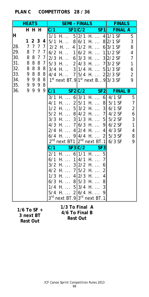### **PLAN C COMPETITORS 28 / 36**

|     | <b>HEATS</b>   |                |                          |   |                   |             | <b>Example 18 SEMI - FINALS</b>                                               |                                     |             |                  |                 |                    | $\parallel$ FINALS |                |
|-----|----------------|----------------|--------------------------|---|-------------------|-------------|-------------------------------------------------------------------------------|-------------------------------------|-------------|------------------|-----------------|--------------------|--------------------|----------------|
|     |                | ннн            |                          |   |                   |             | $\ C/1$ SF1 $\ C/2$ SF1 $\ $ FINAL A                                          |                                     |             |                  |                 |                    |                    |                |
| H   |                |                |                          |   | 1/1               | H.          |                                                                               | $5\frac{2}{1}$ H. $4\frac{1}{1}$ SF |             |                  |                 |                    |                    | 5              |
|     |                | 1234           |                          |   | 5/1               | Н.          | $\mathbb{R}$                                                                  | 8 6/1                               | Н.          | $\ddotsc$        |                 | $8\frac{2}{1}$ SF  |                    | 3              |
| 28. | $\overline{7}$ | $\overline{7}$ | $\overline{7}$           | 7 | 2/2               | Н.          | $\mathbb{R}^2$                                                                | 4 1/2                               | Н.          | $\ddotsc$        |                 | $6\frac{13}{1}$ SF |                    | 8              |
| 29. | 8              | 7              | 7                        | 7 | 6/2               | Η.          | 1 <sup>1</sup><br>$\ddot{\phantom{a}}$                                        | 6/2                                 | Η.          | $\ddotsc$        |                 | $1\vert 1/2$ SF    |                    | $\overline{4}$ |
| 30. | 8              | 8              | $\overline{\phantom{a}}$ | 7 | 2/3               | H.          |                                                                               | $6\,3/3$ H.                         |             |                  |                 | $3\frac{2}{2}$ SF  |                    | $\overline{7}$ |
| 31. | 8              | 8              | 8                        | 7 | 5/3               |             | $H.$ $\therefore$ 2 4/3 H.                                                    |                                     |             |                  |                 | $\ldots$ 7 3/2 SF  |                    | $\overline{1}$ |
| 32. | 8              | 8              | 8                        | 8 | 3/4               | Η.          | $\therefore$ 3   1/4 H.                                                       |                                     |             | $\ddotsc$        |                 | $5\vert 1/3$ SF    |                    | 6              |
| 33. | 9              | 8              | 8                        | 8 | 4/4               | H.          |                                                                               | $7\frac{5}{4}$ H. $2\frac{2}{3}$ SF |             |                  |                 |                    |                    | $\overline{2}$ |
| 34. | 9              | 9              | 8                        | 8 |                   |             | $1st$ next BT.9 1 <sup>st</sup> next B9 3/3 SF                                |                                     |             |                  |                 |                    |                    | 9              |
| 35. | 9              | 9              | 9                        | 8 |                   |             |                                                                               |                                     |             |                  |                 |                    |                    |                |
| 36. | 9              | 9              | 9                        | 9 | $ {\mathsf C}/1 $ |             | $S_{\text{F2}\ C/2}$ $S_{\text{F2}\ C}$ $S_{\text{F1}\ C}$ $S_{\text{F2}\ C}$ |                                     |             |                  |                 |                    |                    |                |
|     |                |                |                          |   | 3/1 H.            |             | $\mathbf{r}$                                                                  | $6\frac{3}{1}$ H.                   |             |                  |                 | $6$ 4/1 SF         |                    | 5              |
|     |                |                |                          |   | 4/1               | Η.          | $\ddotsc$                                                                     | $2\frac{1}{5}$ /1                   | $H_{\cdot}$ | $\mathbf{r}$     | 8 <sup>1</sup>  | $5/1$ SF           |                    | 7              |
|     |                |                |                          |   | 1/2               |             | $\mathbb{R}^2$                                                                | $5 3/2$ H.                          |             | $\ddotsc$        |                 | $316/1$ SF         |                    | $\overline{2}$ |
|     |                |                |                          |   | 5/2               | Η.          | $\cdots$                                                                      | 8 4/2                               | $H_{\cdot}$ | $\ddotsc$        | 7 I             | $4/2$ SF           |                    | 6              |
|     |                |                |                          |   | 3/3               | Η.          | $\cdots$                                                                      | 3 1/3                               | Η.          | $\cdots$         |                 | $5\vert 5/2$ SF    |                    | $\mathfrak{Z}$ |
|     |                |                |                          |   | 4/3               | $H_{\cdot}$ | $\ddotsc$                                                                     | $7\frac{16}{3}$ H.                  |             |                  | 91              | $6/2$ SF           |                    | 1              |
|     |                |                |                          |   | 2/4               | $H_{\cdot}$ | $\mathcal{L}^{\mathcal{L}}$                                                   | $4\ 2/4$ H                          |             |                  |                 | $4\vert 4/3$ SF    |                    | 4              |
|     |                |                |                          |   | 6/4               |             | $\ddotsc$                                                                     | $9 4/4$ H                           |             |                  |                 | $2 5/3 S$ F        |                    | 8              |
|     |                |                |                          |   |                   |             | $2^{nd}$ next BT1 $\ 2^{nd}$ next BT.1 $\ 6/3$ SF                             |                                     |             |                  |                 |                    |                    | 9              |
|     |                |                |                          |   | C/1               |             |                                                                               | $SF3 C/2$ $SF3 $                    |             |                  |                 |                    |                    |                |
|     |                |                |                          |   | 2/1               | Η.          | $\mathbb{R}^{n}$                                                              | $6\parallel 1/1$ H.                 |             | $\mathbb{R}^{n}$ | 5               |                    |                    |                |
|     |                |                |                          |   | 6/1               | Η.          | $\ddotsc$                                                                     | 1 4/1                               | H.          | $\ddotsc$        |                 |                    |                    |                |
|     |                |                |                          |   | 3/2               | $H_{\cdot}$ |                                                                               | $3\frac{2}{2}$                      | H           |                  | 6 <sup>  </sup> |                    |                    |                |
|     |                |                |                          |   |                   |             | 4/2 H.  7 5/2 H.  2                                                           |                                     |             |                  |                 |                    |                    |                |
|     |                |                |                          |   |                   |             | 1/3 H. … 4∥2/3 H. …                                                           |                                     |             |                  |                 |                    |                    |                |
|     |                |                |                          |   |                   |             | $6/3$ H. $8\parallel 5/3$ H.  8                                               |                                     |             |                  |                 |                    |                    |                |
|     |                |                |                          |   |                   |             | $1/4$ H. $5\frac{3}{4}$ H.  3                                                 |                                     |             |                  |                 |                    |                    |                |
|     |                |                |                          |   |                   |             | 5/4 H.  2  6/4 H.                                                             |                                     |             |                  |                 |                    |                    |                |
|     |                |                |                          |   |                   |             | 3 <sup>rd</sup> next BT.9∥3 <sup>rd</sup> next BT.1                           |                                     |             |                  |                 |                    |                    |                |

**1/6 To SF + 3 next BT Rest Out** 

**1/3 To Final A 4/6 To Final B Rest Out**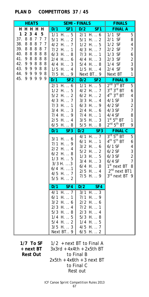#### **PLAN D COMPETITORS 37 / 45**

| <b>HEATS</b>                                                                                                                                                                                                                                                                                                                                                                    |                                                                                                                                                                                                                                                                                                                                                                                                       | <b>SEMI - FINALS</b>                                                                                                                                                                                                                                                                                                                                          | <b>FINALS</b>                                                                                                                                                                                                                                                                                                                                                                                                                                                                   |
|---------------------------------------------------------------------------------------------------------------------------------------------------------------------------------------------------------------------------------------------------------------------------------------------------------------------------------------------------------------------------------|-------------------------------------------------------------------------------------------------------------------------------------------------------------------------------------------------------------------------------------------------------------------------------------------------------------------------------------------------------------------------------------------------------|---------------------------------------------------------------------------------------------------------------------------------------------------------------------------------------------------------------------------------------------------------------------------------------------------------------------------------------------------------------|---------------------------------------------------------------------------------------------------------------------------------------------------------------------------------------------------------------------------------------------------------------------------------------------------------------------------------------------------------------------------------------------------------------------------------------------------------------------------------|
| HHH<br>H<br>$\mathsf{H}$                                                                                                                                                                                                                                                                                                                                                        | SF <sub>1</sub><br>D/1<br>Ш                                                                                                                                                                                                                                                                                                                                                                           | D/2<br>SF <sub>1</sub>                                                                                                                                                                                                                                                                                                                                        | <b>FINAL A</b>                                                                                                                                                                                                                                                                                                                                                                                                                                                                  |
| $\mathbf{1}$<br>3<br>4<br>5<br>$\overline{2}$<br>8<br>8<br>$\overline{7}$<br>37.<br>7 <sub>7</sub><br>$\overline{7}$<br>38.<br>8<br>8<br>8<br>7<br>8<br>8<br>8<br>8<br>39.<br>7<br>8<br>40.<br>8<br>8<br>8<br>8<br>41.<br>9<br>8<br>8<br>8<br>8<br>8<br>42.<br>9<br>9<br>8<br>8<br>43.<br>9<br>9<br>9<br>8<br>8<br>9<br>9<br>44.<br>9<br>9<br>8<br>45.<br>9<br>9<br>9<br>9<br>9 | $1/1$ H. $\ldots$ 5<br>5/1<br>$\ldots$ 2<br>Η.<br>$4/2$ H.  7<br>$7/2$ H.<br>1<br>$6/3$ H.<br>8<br>2/4<br>$H$ 6<br>$4/4$ H. $\ldots$ 3<br>$1/5$ H.<br>4<br>$7/5$ H.  9<br>D/1<br>SF <sub>2</sub><br>$2/1$ H. $\ldots$ 6<br>1/2<br>H. 5<br>$5/2$ H. $\ldots$ 2<br>4/3<br>H.<br>$\overline{7}$<br>$7/3$ H.<br>$\mathbf{1}$<br>3/4<br>Η.<br>$\ldots$ 3<br>$7/4$ H. $\ldots$ 9<br>2/5<br>$H. \ldots$<br>4 | $2/1$ H. $.6$<br>5/1<br>H. 2<br>5<br>1/2<br>$H. \ldots$<br>4/3<br>Η.<br>7/3<br>$H.$<br>$\mathbf{1}$<br>4/4<br>Η.<br>3<br>$\mathbf{L}$<br>5/4<br>H. 8<br>$1/5$ H.<br>$\ldots$ 4<br>Next BT 9<br>D/2<br>SF <sub>2</sub><br>$1/1$ H. $\ldots$ 5<br>4/2<br>H. 7<br>6/2<br>H. 2<br>3/3<br>Η.<br>4<br>6/3<br>$H.$<br>9<br>2/4<br>H. 6<br>7/4<br>H. 1<br>3/5<br>H. 3 | $1/1$ SF<br>5<br><b>SF</b><br>2/1<br>8<br><b>SF</b><br>1/2<br>4<br>2/2<br><b>SF</b><br>$\overline{7}$<br>$1/3$ SF<br>6<br>$2/3$ SF<br>$\overline{2}$<br>$\overline{3}$<br>$1/4$ SF<br>9<br>$2/4$ SF<br>1<br>Next BT<br><b>FINAL B</b><br>$2nd$ 3 <sup>rd</sup> BT<br>5<br>$3rd 3rd B$ T<br>6<br>$4^{\text{th}}$ 3 <sup>rd</sup> BT<br>4<br>3<br>4/1 SF<br>$\overline{2}$<br>$4/2$ SF<br>$\overline{7}$<br>$4/3$ SF<br>$4/4$ SF<br>8<br>1 <sup>st</sup> 5 <sup>th</sup> B T<br>1 |
|                                                                                                                                                                                                                                                                                                                                                                                 | $6/5$ H. $\ldots$ 8                                                                                                                                                                                                                                                                                                                                                                                   | 5/5<br>H. 8                                                                                                                                                                                                                                                                                                                                                   | $2^{nd}$ 5 <sup>th</sup> BT<br>9                                                                                                                                                                                                                                                                                                                                                                                                                                                |
|                                                                                                                                                                                                                                                                                                                                                                                 | D/1<br>SF <sub>3</sub>                                                                                                                                                                                                                                                                                                                                                                                | $\overline{D/2}$<br>SF <sub>3</sub>                                                                                                                                                                                                                                                                                                                           | <b>FINAL C</b>                                                                                                                                                                                                                                                                                                                                                                                                                                                                  |
|                                                                                                                                                                                                                                                                                                                                                                                 | 3/1<br>H.  6<br>7/1<br>Η.<br>$\cdot$ . 9                                                                                                                                                                                                                                                                                                                                                              | 4/1<br>H. 7<br>6/1<br>Η.<br>$\ldots$ 1                                                                                                                                                                                                                                                                                                                        | $3^{\text{rd}}$ 5 <sup>th</sup> BT<br>5<br>$4^{\text{th}}$ 5 <sup>th</sup> BT<br>6                                                                                                                                                                                                                                                                                                                                                                                              |
|                                                                                                                                                                                                                                                                                                                                                                                 | $2/2$ H.<br>4<br>$6/2$ H.<br>$\ldots 8$<br>$1/3$ H. $.5$<br>$3/3$ H. $3$<br>$6/4$ H. 1<br>$4/5$ H.  7<br>$5/5$ H. $\ldots$ 2                                                                                                                                                                                                                                                                          | 3/2<br>Η.<br>$\mathbf{.}6$<br>5/2<br>Η.<br>$\overline{2}$<br>1/3<br>5<br>Η.<br>3/4<br>Η.<br>$\ldots$ 3<br>$6/4$ H. $\ldots$ 8<br>$2/5$ H. $\ldots$ 4<br>$7/5$ H. $\ldots$ 9                                                                                                                                                                                   | $6/1$ SF<br>4<br>3<br>$6/2$ SF<br>$\overline{2}$<br>$6/3$ SF<br>$\overline{7}$<br>$6/4$ SF<br>$1st$ next BT 8<br>$2nd$ next BT1<br>$3rd$ next BT 9                                                                                                                                                                                                                                                                                                                              |
|                                                                                                                                                                                                                                                                                                                                                                                 | SFA<br>D/1<br>$4/1$ H.  7                                                                                                                                                                                                                                                                                                                                                                             | D/2<br>SF4<br>$3/1$ H. $\ldots$ 3                                                                                                                                                                                                                                                                                                                             |                                                                                                                                                                                                                                                                                                                                                                                                                                                                                 |

**+ next BT Rest Out** 

**1/7 To SF**  1/2 + next BT to Final A 3x3rd + 4x4th + 2x5th BT to Final B  $2x5th + 4x6th + 3$  next BT to Final C Rest out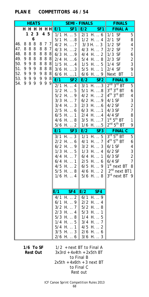# **PLAN E COMPETITORS 46 / 54**

| <b>HEATS</b>                                                                                                                                                                   |                                                                                                                                                                                                         |                                                             | <b>SEMI - FINALS</b>                                                                                                                                               |                                                             |                                                                                                                                                                                    | <b>FINALS</b>                                                                                                                                                                                              |                                                                     |
|--------------------------------------------------------------------------------------------------------------------------------------------------------------------------------|---------------------------------------------------------------------------------------------------------------------------------------------------------------------------------------------------------|-------------------------------------------------------------|--------------------------------------------------------------------------------------------------------------------------------------------------------------------|-------------------------------------------------------------|------------------------------------------------------------------------------------------------------------------------------------------------------------------------------------|------------------------------------------------------------------------------------------------------------------------------------------------------------------------------------------------------------|---------------------------------------------------------------------|
|                                                                                                                                                                                |                                                                                                                                                                                                         |                                                             |                                                                                                                                                                    |                                                             | SF1                                                                                                                                                                                | <b>FINAL A</b>                                                                                                                                                                                             |                                                                     |
| 2 <sub>3</sub><br>1<br>6<br>88<br>46.<br>8<br>8<br>47.<br>8<br>8<br>8<br>48.<br>8<br>8<br>8<br>49.<br>9<br>8<br>9<br>8<br>50.<br>9<br>9<br>51.<br>9<br>9<br>52.<br>9<br>9<br>9 | 4 5<br>7 <sup>1</sup><br>7 <sup>1</sup><br>8<br>8<br>8<br>7 <sup>1</sup><br>8<br>8<br>8 <sup>1</sup><br>8<br>8<br>8<br>8<br>8<br>8 <sup>1</sup><br>8<br>8<br>8 <sup>1</sup><br>8<br>9<br>8 <sup>1</sup> | 1/1<br>5/1<br>4/2<br>4/3<br>6/3<br>2/4<br>1/5<br>3/6        | H. 5<br>$\dots 8$<br>Η.<br>$H. \ldots 7$<br>Η.<br>$\ldots$ 2<br>$H. \ldots 9$<br>Η.<br>$\dots6$<br>$H. \ldots 4$<br>$H. \ldots 3$<br>$6/6$ H. 1                    | $1/2$ H.<br>4/3<br>4/4<br>5/4<br>1/5<br>5/5<br>6/6          | $2/1$ H.  6<br>4<br>$\mathbb{R}^2$<br>3<br>$3/3$ H. $\ldots$<br>H.<br>$\overline{7}$<br>$H.$<br>$\overline{2}$<br>8<br>Н.<br>$\ddot{\phantom{a}}$<br>5<br>$H.$<br>H. 1<br>H. 9     | <b>SF</b><br>1/1<br><b>SF</b><br>2/1<br><b>SF</b><br>1/2<br>2/2<br><b>SF</b><br><b>SF</b><br>1/3<br><b>SF</b><br>2/3<br>$1/4$ SF<br>$2/4$ SF<br>Next BT                                                    | 5<br>8<br>4<br>$\overline{7}$<br>6<br>$\overline{2}$<br>3<br>9<br>1 |
| 53.<br>9<br>9<br>9<br>9<br>9<br>9                                                                                                                                              | 9<br>9<br>8<br>9<br>9<br>9                                                                                                                                                                              | E/1                                                         | SF <sub>2</sub>                                                                                                                                                    | E/2                                                         | SF2                                                                                                                                                                                | <b>FINAL B</b>                                                                                                                                                                                             |                                                                     |
| 54.                                                                                                                                                                            |                                                                                                                                                                                                         | 2/1<br>1/2<br>5/2<br>3/3<br>3/4<br>2/5<br>6/5<br>4/6<br>5/6 | $\overline{4}$<br>H.<br>5<br>Н.<br>$\ddotsc$<br>H.<br>9<br>Η.<br>7<br>3<br>H.<br>Н.<br>6<br>H.<br>$\mathbf{1}$<br>$H.$ $\ldots$ 8<br>H. 2                          | 3/1<br>5/1<br>4/2<br>6/2<br>2/3<br>6/3<br>2/4<br>3/5<br>1/6 | $H. \ldots 3$<br>$H. \ldots 8$<br>$H. \ldots 2$<br>Η.<br>$\ldots$ 9<br>$H. \ldots 6$<br>$H. \ldots 1$<br>$H. \ldots 4$<br>Η.<br>$\ldots$ .<br>$H. \ldots 5$                        | $2nd$ $3rd$ BT<br>$3^{\text{rd}}$ $3^{\text{rd}}$ $BT$<br>4 <sup>th</sup> 3 <sup>rd</sup> BT<br>$4/1$ SF<br>$4/2$ SF<br>$4/3$ SF<br>$4/4$ SF<br>1 <sup>st</sup> 5 <sup>th</sup> B T<br>$2^{nd} 5^{th} B$ T | 5<br>6<br>4<br>3<br>$\overline{2}$<br>$\overline{1}$<br>8<br>1<br>9 |
|                                                                                                                                                                                |                                                                                                                                                                                                         | E/1                                                         | SF <sub>3</sub>                                                                                                                                                    | E/2                                                         | SF3                                                                                                                                                                                | <b>FINAL C</b>                                                                                                                                                                                             |                                                                     |
|                                                                                                                                                                                |                                                                                                                                                                                                         | 3/1<br>2/2<br>6/2<br>1/3<br>4/4<br>6/4                      | H. 3<br>6<br>Н.<br>Н.<br>9<br>$\mathbb{R}^2$<br>5<br>Η.<br>7<br>Н.<br>Η.<br>$\mathbf{1}$<br>$\overline{2}$<br>4/5 H.<br>$5/5$ H. $\ldots$ 8<br>$1/6$ H. $\ldots$ 4 | 1/1<br>4/1<br>3/2<br>1/3<br>6/4<br>2/5                      | H. 5<br>$\overline{7}$<br>H.<br>H. 3<br>Η.<br>4<br>Н.<br>1<br>Η.<br>6<br>$6/5$ H. $\ldots$ 9<br>$4/6$ H.  2<br>$5/6$ H. $\ldots$ 8                                                 | $3^{\text{rd}} 5^{\text{th}} B$ T<br>4 <sup>th</sup> 5 <sup>th</sup> B T<br>$6/1$ SF<br>$6/2$ SF<br>$6/3$ SF<br>$6/4$ SF<br>$\ 1^{st}$ next BT 8<br>$2nd$ next BT1<br>$3rd$ next BT 9                      | 5<br>6<br>4<br>3<br>$\overline{2}$<br>$\overline{7}$                |
|                                                                                                                                                                                |                                                                                                                                                                                                         | E/1                                                         | SF4                                                                                                                                                                |                                                             | $E/2$ SF4                                                                                                                                                                          |                                                                                                                                                                                                            |                                                                     |
|                                                                                                                                                                                |                                                                                                                                                                                                         | 4/1<br>6/1<br>3/2<br>5/4                                    | H. 2<br>H. 9<br>H. 7<br>$2/3$ H. $\ldots$ 4<br>$5/3$ H. $\ldots$ 8<br>$1/4$ H. $\ldots$ 5<br>H. 1<br>$3/5$ H. $\ldots$ 3<br>$2/6$ H. $\ldots$ 6                    |                                                             | $16/1$ H9<br>$2/2$ H. $\ldots$ 4<br>$5/2$ H. $\ldots$ 8<br>$5/3$ H. $\ldots$ 1<br>$1/4$ H. $.5$<br>$3/4$ H. 7<br>$4/5$ H. $\ldots$ 2<br>$2/6$ H. $\ldots$ 6<br>$3/6$ H. $\ldots$ 3 |                                                                                                                                                                                                            |                                                                     |

**1/6 To SF Rest Out** 

1/2 + next BT to Final A 3x3rd + 4x4th + 2x5th BT to Final B 2x5th + 4x6th + 3 next BT to Final C Rest out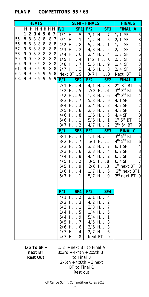#### **PLAN F COMPETITORS 55 / 63**

| <b>HEATS</b>                                                                                                                                                                                                                                                                                                                                                                                                                    |                                                                                                                                                                          | <b>SEMI - FINALS</b>                                                                                                                                                         | <b>FINALS</b>                                                                                                                                                                                                                                                                                    |
|---------------------------------------------------------------------------------------------------------------------------------------------------------------------------------------------------------------------------------------------------------------------------------------------------------------------------------------------------------------------------------------------------------------------------------|--------------------------------------------------------------------------------------------------------------------------------------------------------------------------|------------------------------------------------------------------------------------------------------------------------------------------------------------------------------|--------------------------------------------------------------------------------------------------------------------------------------------------------------------------------------------------------------------------------------------------------------------------------------------------|
| н                                                                                                                                                                                                                                                                                                                                                                                                                               |                                                                                                                                                                          | $SF1$ $F/2$ $SF1$                                                                                                                                                            | <b>FINAL A</b>                                                                                                                                                                                                                                                                                   |
| 5<br>$\overline{2}$<br>34<br>6<br>$\overline{7}$<br>1<br>8<br>8<br>8<br>8<br>8<br>$\overline{7}$<br>55.<br>8<br>8<br>56.<br>8<br>8<br>8<br>8<br>8<br>8<br>8<br>8<br>57.<br>8<br>8<br>8<br>8<br>9<br>58.<br>9<br>8<br>8<br>9<br>8<br>8<br>8<br>59.<br>9<br>8<br>9<br>9<br>8<br>8<br>8<br>9<br>9<br>8<br>9<br>9<br>8<br>8<br>60.<br>9<br>9<br>9<br>8<br>61.<br>9<br>9<br>8<br>9<br>9<br>9<br>9<br>9<br>9<br>8 <sup>1</sup><br>62. | $1/1$ H. 5<br>5/1<br>$H. \ldots 1$<br>$4/2$ H. $8$<br>$4/3$ H.<br>$\ldots$ 2<br>$2/4$ H. 6<br>$1/5$ H.<br>$\dots$ 4<br>$3/6$ H. 7<br>$2/7$ H. 3<br>Next BT9              | $3/1$ H. $\sqrt{7}$<br>1/2<br>H. 5<br>$5/2$ H.  1<br>4/3<br>H. 2<br>$2/4$ H<br>4<br>1/5<br>$H\ldots 6$<br>$5/5$ H. $\ldots$ 9<br>$4/6$ H. $\ldots$ 8<br>$3/7$ H. 3           | -SF<br>1/1<br>5<br><b>SF</b><br>8<br>2/1<br><b>SF</b><br>1/2<br>$\overline{4}$<br><b>SF</b><br>$\overline{7}$<br>2/2<br>$1/3$ SF<br>6<br>$2/3$ SF<br>$\overline{2}$<br>3<br>$1/4$ SF<br>9<br>$2/4$ SF<br>Next BT<br>1                                                                            |
| 9<br>9<br>9<br>63.<br>9<br>9<br>9<br>9                                                                                                                                                                                                                                                                                                                                                                                          | SF <sub>2</sub><br>F/1                                                                                                                                                   | $F/2$ SF2                                                                                                                                                                    | <b>FINAL B</b>                                                                                                                                                                                                                                                                                   |
|                                                                                                                                                                                                                                                                                                                                                                                                                                 | $2/1$ H. $\ldots$ 4<br>$1/2$ H. $\ldots$ 5<br>$5/2$ H 9<br>3/3<br>$H.$<br>7<br>3/4<br>H. 3<br>2/5<br>$H.$ 6<br>4/6<br>H. 8<br>$5/6$ H. $\ldots$ 1<br>$3/7$ H. $\ldots$ 2 | $4/1$ H. $\ldots$ 8<br>$2/2$ H. $.4$<br>$1/3$ H. $.6$<br>$5/3$ H. $.9$<br>$3/4$ H.  3<br>2/5<br>H. 7<br>$1/6$ H. $.5$<br>$5/6$ H. $\ldots$ 1<br>$4/7$ H.  2                  | $2nd$ 3 <sup>rd</sup> BT<br>5<br>$3^{\text{rd}}$ $3^{\text{rd}}$ $\text{BT}$<br>6<br>$4^{\text{th}}$ 3 <sup>rd</sup> BT<br>4<br>$4/1$ SF<br>3<br>$\overline{2}$<br>$4/2$ SF<br>$\overline{7}$<br>$4/3$ SF<br>4/4 SF<br>8<br>1 <sup>st</sup> 5 <sup>th</sup> B T<br>1<br>$2^{nd} 5^{th} B$ T<br>9 |
|                                                                                                                                                                                                                                                                                                                                                                                                                                 | SF <sub>3</sub><br>F/1                                                                                                                                                   | F/2<br>SF <sub>3</sub>                                                                                                                                                       | <b>FINAL C</b>                                                                                                                                                                                                                                                                                   |
|                                                                                                                                                                                                                                                                                                                                                                                                                                 | H. 3<br>3/1<br>$H_{\cdot}$ 7<br>3/2<br>1/3<br>H. 5<br>2/3<br>$H. \ldots 6$<br>4/4<br>Η.<br>$\ldots 8$<br>4/5<br>H. 2<br>$5/5$ H. 9<br>$1/6$ H. $.4$  <br>$5/7$ H. 1      | 1/1<br>H. 5<br>$5/1$ H. $.1$<br>$3/2$ H.  7<br>$2/3$ H. $\ldots$ 4<br>$4/4$ H.<br>$\ldots$ 2<br>$3/5$ H. $.8$<br>$2/6$ H. $.3$<br>$1/7$ H. $\ldots$ 6<br>$5/7$ H. $\ldots$ 9 | $3^{\text{rd}} 5^{\text{th}} B$ T<br>5<br>4 <sup>th</sup> 5 <sup>th</sup> B T<br>6<br>$6/1$ SF<br>4<br>3<br>$6/2$ SF<br>$\overline{c}$<br>$6/3$ SF<br>$\overline{7}$<br>$6/4$ SF<br>$1^\text{st}$ next BT<br>$\mathsf{R}$<br>$2nd$ next BT1<br>$3^{\text{rd}}$ next BT 9                         |
|                                                                                                                                                                                                                                                                                                                                                                                                                                 | $F/1$ SF4                                                                                                                                                                | $F/2$ SF4                                                                                                                                                                    |                                                                                                                                                                                                                                                                                                  |
|                                                                                                                                                                                                                                                                                                                                                                                                                                 | $4/1$ H.  2<br>$2/2$ H. $\ldots$ 3<br>$5/3$ H. $\ldots$ 1<br>$1/4$ H.  5<br>$5/4$ H.  9<br>$3/5$ H.  7<br>$2/6$ H6<br>$1/7$ H. $\ldots$ 4<br>$4/7$ H. $\ldots$ 8         | $2/1$ H. $\ldots$ 4<br>$4/2$ H.  2<br>$3/3$ H. 7<br>$1/4$ H. $\ldots$ 5<br>$5/4$ H.  1<br>$4/5$ H. $\ldots$ 8<br>$3/6$ H. $\ldots$ 3<br>$2/7$ H. $\ldots$ 6<br>Next BT 9     |                                                                                                                                                                                                                                                                                                  |

**1/5 To SF + next BT Rest Out** 

1/2 + next BT to Final A 3x3rd + 4x4th + 2x5th BT to Final B 2x5th + 4x6th + 3 next BT to Final C Rest out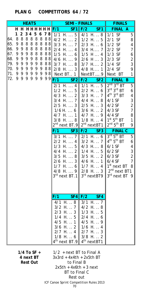# **PLAN G COMPETITORS 64 / 72**

|                                                              |                                                |                                                | <b>HEATS</b>                                    |                                           |                                                |                                           |                                                                |                                                                                              |                                                                          | <b>SEMI - FINALS</b>                                                                                                                                                                                                          |                                                                           |                                                                                                                                                                                                                                                                                  |                                                                                                         | <b>FINALS</b>                                                                                                                                                                     |                                                                                                                |
|--------------------------------------------------------------|------------------------------------------------|------------------------------------------------|-------------------------------------------------|-------------------------------------------|------------------------------------------------|-------------------------------------------|----------------------------------------------------------------|----------------------------------------------------------------------------------------------|--------------------------------------------------------------------------|-------------------------------------------------------------------------------------------------------------------------------------------------------------------------------------------------------------------------------|---------------------------------------------------------------------------|----------------------------------------------------------------------------------------------------------------------------------------------------------------------------------------------------------------------------------------------------------------------------------|---------------------------------------------------------------------------------------------------------|-----------------------------------------------------------------------------------------------------------------------------------------------------------------------------------|----------------------------------------------------------------------------------------------------------------|
|                                                              | н                                              |                                                |                                                 |                                           |                                                |                                           | <b>H HHHHHH</b>                                                |                                                                                              |                                                                          | $\ F/1$ SF1 $\ F/2$                                                                                                                                                                                                           |                                                                           | SF1                                                                                                                                                                                                                                                                              |                                                                                                         | <b>FINAL A</b>                                                                                                                                                                    |                                                                                                                |
| 164.<br>65.<br>66.<br>67.<br>68.<br>79.<br>70.<br>71.<br>72. | 1<br>8<br>9<br>9<br>9<br>9<br>9<br>9<br>9<br>9 | 2<br>8<br>8<br>9<br>9<br>9<br>9<br>9<br>9<br>9 | 34<br>8<br>8<br>8<br>9<br>9<br>9<br>9<br>9<br>9 | 8<br>8<br>8<br>8<br>9<br>9<br>9<br>9<br>9 | 5<br>8<br>8<br>8<br>8<br>8<br>9<br>9<br>9<br>9 | 6<br>8<br>8<br>8<br>8<br>8<br>8<br>9<br>9 | 78 ∥<br>88<br>88<br>881<br>88<br>88<br>88<br>9 8 8<br>98<br>99 | 4/2<br>3/3<br>2/4<br>1/5<br>4/6<br>3/7<br>F/1<br>2/1<br>1/2<br>4/3<br>3/4<br>2/5<br>$1/6$ H. | Η.<br>$H. \ldots$<br>Η.<br>Η.<br>H.<br><b>H.</b><br>Η.<br>H.<br>Η.<br>Н. | $1/1$ H.  5<br>2<br>$\ddotsc$<br>$\overline{7}$<br>4<br>$H. \ldots$<br>6<br>9<br>$\mathbb{R}^2$<br>8<br>$2/8$ H.  3<br>Next BT 1<br>SF <sub>2</sub><br>$\overline{4}$<br>5<br>2<br>$\overline{7}$<br>$\ldots$ 3<br>$\ldots 6$ | 1/2<br>2/3<br>3/4<br>1/5<br>2/6<br>3/7<br>F/2<br>2/2<br>4/4<br>2/5<br>3/6 | $4/1$ H. $\ldots$ 8<br>5<br>H.<br>Н.<br>6<br>$\overline{7}$<br>H<br>4<br>3<br>H<br>$\overline{2}$<br>н<br>$\mathbf{1}$<br>$4/8$ H<br>NextBT9<br>SF2<br>$1/1$ H. $\ldots$ 5<br>$\mathbf{.}6$<br>Η.<br>$3/3$ H.  7<br>8<br>Η.<br>$\therefore$ 3<br>$H_{\odot}$<br>$\ldots$ 2<br>H. | $1/1$ SF<br>2/1<br>1/2<br>2/2<br>1/3<br>2/3<br>$1/4$ SF<br>$2/4$ SF<br>$4/1$ SF<br>$4/2$ SF<br>$4/3$ SF | <b>SF</b><br>-SF<br><b>SF</b><br>-SF<br><b>SF</b><br>Next BT<br><b>FINAL B</b><br>$2nd$ 3 <sup>rd</sup> BT<br>$3^{\text{rd}}$ $3^{\text{rd}}$ $BT$<br>$4^{th}$ 3 <sup>rd</sup> BT | 5<br>8<br>4<br>7<br>6<br>$\overline{2}$<br>3<br>9<br>1<br>5<br>6<br>4<br>3<br>$\overline{2}$<br>$\overline{7}$ |
|                                                              |                                                |                                                |                                                 |                                           |                                                |                                           |                                                                | $4/7$ H<br>$3/8$ H.<br>F/1                                                                   |                                                                          | 1<br>$\ldots 8$<br>2 <sup>nd</sup> next BT.9 <br>SF <sub>3</sub>                                                                                                                                                              | F/2                                                                       | $4/7$ H. 9<br>$1/8$ H. $\ldots$ 4<br>$2nd$ nextBT1<br>SF <sub>3</sub>                                                                                                                                                                                                            | $4/4$ SF                                                                                                | 1 <sup>st</sup> 5 <sup>th</sup> B T<br>$2^{nd} 5^{th} B$ T<br><b>FINAL C</b>                                                                                                      | 8<br>1<br>9                                                                                                    |
|                                                              |                                                |                                                |                                                 |                                           |                                                |                                           |                                                                | 3/1<br>2/2<br>1/3<br>4/4<br>3/5<br>2/6                                                       | Η.<br>Η.<br>Η.<br>Н.<br>Н.<br>Η.                                         | $\ldots$ 7<br>4<br>5<br>$\sim 10^7$<br>2<br>8<br>$\ldots$ 3<br>$1/7$ H.  6<br>$3^{\text{rd}}$ next BT.1                                                                                                                       | 2/1<br>3/2<br>4/3<br>1/4<br>3/5<br>4/6                                    | $H. \ldots 6$<br>Η.<br>$\overline{7}$<br>$\mathbb{R}^2$<br>H8<br>5<br>Н.<br>2<br>$H_{\cdot}$<br>H.<br>$\ldots$ 1<br>$1/7$ H. $\ldots$ 4<br>4/8 H.  9 2/8 H.  3 $2^{nd}$ next BT1<br>3 <sup>rd</sup> nextBT9                                                                      | $6/1$ SF<br>$6/2$ SF<br>$6/3$ SF<br>$6/4$ SF                                                            | 3 <sup>rd</sup> 5 <sup>th</sup> BT<br>4 <sup>th</sup> 5 <sup>th</sup> B T                                                                                                         | 5<br>6<br>4<br>3<br>$\overline{2}$<br>$\overline{7}$<br>$1st$ next BT 8<br>$3rd$ next BT 9                     |
|                                                              |                                                |                                                |                                                 |                                           |                                                |                                           |                                                                | F/1                                                                                          |                                                                          | $4/1$ H. $\ldots$ 8<br>$3/2$ H.  7<br>$2/3$ H.  3<br>$1/4$ H. $.5$<br>$4/5$ H.  1<br>$3/6$ H. $\ldots$ 2<br>$2/7$ H. $\ldots$ 4<br>$1/8$ H. 6<br>$4^{\text{th}}$ next BT.9 $\parallel$                                        | $SF4$ $F/2$                                                               | SF4<br>$3/1$ H.  7<br>$4/2$ H. $\ldots$ 8<br>$1/3$ H. $.5$<br>$2/4$ H. 6<br>$4/5$ H. 9<br>$1/6$ H. $\ldots$ 4<br>$2/7$ H.  3<br>$3/8$ H. $\ldots$ 2<br>4 <sup>th</sup> nextBT1                                                                                                   |                                                                                                         |                                                                                                                                                                                   |                                                                                                                |

**1/4 To SF + 4 next BT Rest Out** 

ICF Canoe Sprint Competition Rules 2013 1/2 + next BT to Final A 3x3rd + 4x4th + 2x5th BT to Final B 2x5th + 4x6th + 3 next BT to Final C Rest out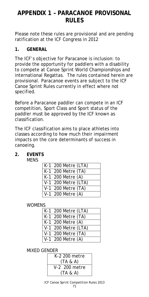# **APPENDIX 1 – PARACANOE PROVISONAL RULES**

Please note these rules are provisional and are pending ratification at the ICF Congress in 2012

#### **1. GENERAL**

The ICF's objective for Paracanoe is inclusion: to provide the opportunity for paddlers with a disability to compete at Canoe Sprint World Championships and international Regattas. The rules contained herein are provisional. Paracanoe events are subject to the ICF Canoe Sprint Rules currently in effect where not specified.

Before a Paracanoe paddler can compete in an ICF competition, Sport Class and Sport status of the paddler must be approved by the ICF known as classification.

The ICF classification aims to place athletes into classes according to how much their impairment impacts on the core determinants of success in canoeing.

# **2. EVENTS**

#### **MFNS**

| K-1 200 Metre (LTA) |
|---------------------|
| K-1 200 Metre (TA)  |
| K-1 200 Metre (A)   |
| V-1 200 Metre (LTA) |
| V-1 200 Metre (TA)  |
| V-1 200 Metre (A)   |

#### **WOMENS**

| K-1 200 Metre (LTA) |
|---------------------|
| K-1 200 Metre (TA)  |
| K-1 200 Metre (A)   |
| V-1 200 Metre (LTA) |
| V-1 200 Metre (TA)  |
| V-1 200 Metre (A)   |
|                     |

MIXED GENDER

| .             |
|---------------|
| K-2 200 metre |
| (TA & A)      |
| V-2 200 metre |
| (TA & A)      |
|               |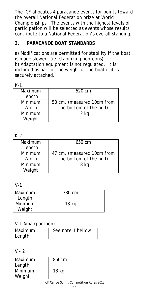The ICF allocates 4 paracanoe events for points toward the overall National Federation prize at World Championships. The events with the highest levels of participation will be selected as events whose results contribute to a National Federation's overall standing.

## **3. PARACANOE BOAT STANDARDS**

a) Modifications are permitted for stability if the boat is made slower. (ie. stabilizing pontoons). b) Adaptation equipment is not regulated. It is included as part of the weight of the boat if it is securely attached.

K-1

| Maximum<br>Length | 520 cm                                                |
|-------------------|-------------------------------------------------------|
| Minimum<br>Width  | 50 cm. (measured 10cm from<br>the bottom of the hull) |
| Minimum<br>Weight | $12$ kg                                               |

K-2

| Maximum<br>Length | 650 cm                                                |
|-------------------|-------------------------------------------------------|
| Minimum<br>Width  | 47 cm. (measured 10cm from<br>the bottom of the hull) |
| Minimum<br>Weight | 18 kg                                                 |

V-1

| Maximum | 730 cm  |
|---------|---------|
| Length  |         |
| Minimum | $13$ kg |
| Weight  |         |

#### V-1 Ama (pontoon)

| Maximum | See note 1 bellow |
|---------|-------------------|
| Length  |                   |

 $V - 2$ 

| Maximum | 850cm |
|---------|-------|
| Length  |       |
| Minimum | 18 kg |
| Weight  |       |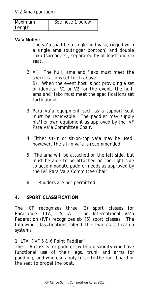| Maximum | See note 1 below |
|---------|------------------|
| Length  |                  |

### **Va'a Notes:**

- 1. The va'a shall be a single hull va'a, rigged with a single ama (outrigger pontoon) and double 'iako (spreaders), separated by at least one (1) seat.
- 2. A.) The hull, ama and 'iako must meet the specifications set forth above. B) When the event host is not providing a set of identical V1 or V2 for the event, the hull, ama and 'iako must meet the specifications set forth above.
- 3. Para Va'a equipment such as a support seat must be removable. The paddler may supply his/her own equipment as approved by the IVF Para Va'a Committee Chair.
- 4. Either sit-in or sit-on-top va'a may be used; however, the sit-in va'a is recommended.
- 5. The ama will be attached on the left side, but must be able to be attached on the right side to accommodate paddler needs as approved by the IVF Para Va'a Committee Chair.
- 6. Rudders are not permitted.

### **4. SPORT CLASSIFICATION**

The ICF recognizes three (3) sport classes for Paracanoe: LTA, TA, A. The International Va'a Federation (IVF) recognizes six (6) sport classes. The following classifications blend the two classification systems.

### *1. LTA (IVF 5 & 6 Point Paddler)*

The LTA class is for paddlers with a disability who have functional use of their legs, trunk and arms for paddling, and who can apply force to the foot board or the seat to propel the boat.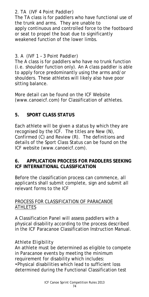# *2. TA (IVF 4 Point Paddler)*

The TA class is for paddlers who have functional use of the trunk and arms. They are unable to apply continuous and controlled force to the footboard or seat to propel the boat due to significantly weakened function of the lower limbs.

## *3. A (IVF 1 – 3 Point Paddler)*

The A class is for paddlers who have no trunk function (i.e. shoulder function only). An A class paddler is able to apply force predominantly using the arms and/or shoulders. These athletes will likely also have poor sitting balance.

More detail can be found on the ICF Website ([www.canoeicf.com\)](http://www.canoeicf.com/) for Classification of athletes.

## **5. SPORT CLASS STATUS**

Each athlete will be given a status by which they are recognised by the ICF. The titles are New (N), Confirmed (C) and Review (R). The definitions and details of the Sport Class Status can be found on the ICF website [\(www.canoeicf.com](http://www.canoeicf.com/)).

#### **6. APPLICATION PROCESS FOR PADDLERS SEEKING ICF INTERNATIONAL CLASSIFICATION**

Before the classification process can commence, all applicants shall submit complete, sign and submit all relevant forms to the ICF

#### PROCESS FOR CLASSIFICATION OF PARACANOE ATHLETES

A Classification Panel will assess paddlers with a physical disability according to the process described in the ICF Paracanoe Classification Instruction Manual.

### *Athlete Eligibility*

An athlete must be determined as eligible to compete in Paracanoe events by meeting the minimum requirement for disability which includes: •Physical disabilities which lead to sufficient loss determined during the Functional Classification test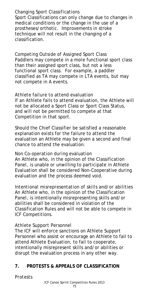# *Changing Sport Classifications*

Sport Classifications can only change due to changes in medical conditions or the change in the use of a prostheses/orthotic. Improvements in stroke technique will not result in the changing of a classification.

*Competing Outside of Assigned Sport Class*  Paddlers may compete in a more functional sport class than their assigned sport class, but not a less functional sport class. For example, a paddler classified as TA may compete in LTA events, but may not compete in A events.

### *Athlete failure to attend evaluation*

If an Athlete fails to attend evaluation, the Athlete will not be allocated a Sport Class or Sport Class Status, and will not be permitted to compete at that Competition in that sport.

Should the Chief Classifier be satisfied a reasonable explanation exists for the failure to attend the evaluation an Athlete may be given a second and final chance to attend the evaluation.

### *Non Co-operation during evaluation*

An Athlete who, in the opinion of the Classification Panel, is unable or unwilling to participate in Athlete Evaluation shall be considered Non-Cooperative during evaluation and the process deemed void.

*Intentional misrepresentation of skills and/or abilities* An Athlete who, in the opinion of the Classification Panel, is intentionally misrepresenting skills and/or abilities shall be considered in violation of the Classification Rules and will not be able to compete in ICF Competitions.

### *Athlete Support Personnel*

The ICF will enforce sanctions on Athlete Support Personnel who assist or encourage an Athlete to fail to attend Athlete Evaluation, to fail to cooperate, intentionally misrepresent skills and/or abilities or disrupt the evaluation process in any other way.

# **7. PROTESTS & APPEALS OF CLASSIFICATION**

## *Protests*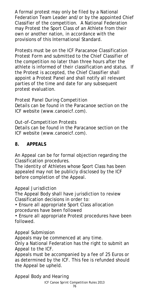A formal protest may only be filed by a National Federation Team Leader and/or by the appointed Chief Classifier of the competition. A National Federation may Protest the Sport Class of an Athlete from their own or another nation, in accordance with the provisions of this International Standard.

Protests must be on the ICF Paracanoe Classification Protest Form and submitted to the Chief Classifier of the competition no later than three hours after the athlete is informed of their classification and status. If the Protest is accepted, the Chief Classifier shall appoint a Protest Panel and shall notify all relevant parties of the time and date for any subsequent protest evaluation.

#### *Protest Panel During Competition*

Details can be found in the Paracanoe section on the ICF website (www.canoeicf.com).

### *Out-of-Competition Protests*

Details can be found in the Paracanoe section on the ICF website (www.canoeicf.com).

## **8. APPEALS**

An Appeal can be for formal objection regarding the Classification procedures.

The identity of Athletes whose Sport Class has been appealed may not be publicly disclosed by the ICF before completion of the Appeal.

### *Appeal Jurisdiction*

The Appeal Body shall have jurisdiction to review Classification decisions in order to:

• Ensure all appropriate Sport Class allocation procedures have been followed

• Ensure all appropriate Protest procedures have been followed.

### *Appeal Submission*

Appeals may be commenced at any time.

Only a National Federation has the right to submit an Appeal to the ICF.

Appeals must be accompanied by a fee of 25 Euros or as determined by the ICF. This fee is refunded should the Appeal be upheld.

*Appeal Body and Hearing*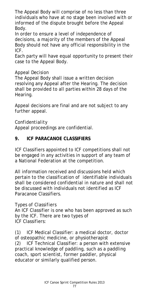The Appeal Body will comprise of no less than three individuals who have at no stage been involved with or informed of the dispute brought before the Appeal Body.

In order to ensure a level of independence of decisions, a majority of the members of the Appeal Body should not have any official responsibility in the ICF.

Each party will have equal opportunity to present their case to the Appeal Body.

### *Appeal Decision*

The Appeal Body shall issue a written decision resolving any Appeal after the Hearing. The decision shall be provided to all parties within 28 days of the Hearing.

Appeal decisions are final and are not subject to any further appeal.

## *Confidentiality*

Appeal proceedings are confidential.

# **9. ICF PARACANOE CLASSIFIERS**

ICF Classifiers appointed to ICF competitions shall not be engaged in any activities in support of any team of a National Federation at the competition.

All information received and discussions held which pertain to the classification of identifiable individuals shall be considered confidential in nature and shall not be discussed with individuals not identified as ICF Paracanoe Classifiers.

### *Types of Classifiers*

An ICF Classifier is one who has been approved as such by the ICF. There are two types of ICF Classifiers:

(1) ICF Medical Classifier: a medical doctor, doctor of osteopathic medicine, or physiotherapist (2) ICF Technical Classifier: a person with extensive practical knowledge of paddling, such as a paddling coach, sport scientist, former paddler, physical educator or similarly qualified person.